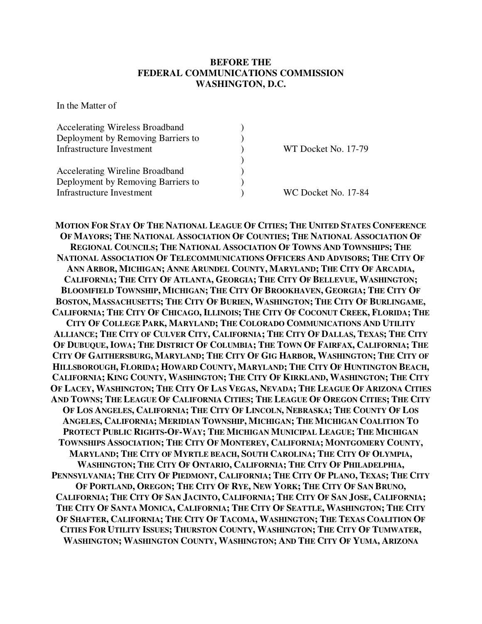## **BEFORE THE FEDERAL COMMUNICATIONS COMMISSION WASHINGTON, D.C.**

In the Matter of

| <b>Accelerating Wireless Broadband</b> |                     |
|----------------------------------------|---------------------|
| Deployment by Removing Barriers to     |                     |
| Infrastructure Investment              | WT Docket No. 17-79 |
|                                        |                     |
| <b>Accelerating Wireline Broadband</b> |                     |
| Deployment by Removing Barriers to     |                     |
| Infrastructure Investment              | WC Docket No. 17-84 |

MOTION FOR STAY OF THE NATIONAL LEAGUE OF CITIES; THE UNITED STATES CONFERENCE OF MAYORS; THE NATIONAL ASSOCIATION OF COUNTIES; THE NATIONAL ASSOCIATION OF REGIONAL COUNCILS; THE NATIONAL ASSOCIATION OF TOWNS AND TOWNSHIPS; THE NATIONAL ASSOCIATION OF TELECOMMUNICATIONS OFFICERS AND ADVISORS; THE CITY OF ANN ARBOR, MICHIGAN; ANNE ARUNDEL COUNTY, MARYLAND; THE CITY OF ARCADIA, CALIFORNIA; THE CITY OF ATLANTA, GEORGIA; THE CITY OF BELLEVUE, WASHINGTON; BLOOMFIELD TOWNSHIP, MICHIGAN; THE CITY OF BROOKHAVEN, GEORGIA; THE CITY OF BOSTON, MASSACHUSETTS; THE CITY OF BURIEN, WASHINGTON; THE CITY OF BURLINGAME, CALIFORNIA; THE CITY OF CHICAGO, ILLINOIS; THE CITY OF COCONUT CREEK, FLORIDA; THE CITY OF COLLEGE PARK, MARYLAND; THE COLORADO COMMUNICATIONS AND UTILITY ALLIANCE; THE CITY OF CULVER CITY, CALIFORNIA; THE CITY OF DALLAS, TEXAS; THE CITY OF DUBUQUE, IOWA; THE DISTRICT OF COLUMBIA; THE TOWN OF FAIRFAX, CALIFORNIA; THE CITY OF GAITHERSBURG, MARYLAND; THE CITY OF GIG HARBOR, WASHINGTON; THE CITY OF HILLSBOROUGH, FLORIDA; HOWARD COUNTY, MARYLAND; THE CITY OF HUNTINGTON BEACH, CALIFORNIA; KING COUNTY, WASHINGTON; THE CITY OF KIRKLAND, WASHINGTON; THE CITY OF LACEY, WASHINGTON; THE CITY OF LAS VEGAS, NEVADA; THE LEAGUE OF ARIZONA CITIES AND TOWNS; THE LEAGUE OF CALIFORNIA CITIES; THE LEAGUE OF OREGON CITIES; THE CITY OF LOS ANGELES, CALIFORNIA; THE CITY OF LINCOLN, NEBRASKA; THE COUNTY OF LOS ANGELES, CALIFORNIA; MERIDIAN TOWNSHIP, MICHIGAN; THE MICHIGAN COALITION TO PROTECT PUBLIC RIGHTS-OF-WAY; THE MICHIGAN MUNICIPAL LEAGUE; THE MICHIGAN TOWNSHIPS ASSOCIATION; THE CITY OF MONTEREY, CALIFORNIA; MONTGOMERY COUNTY, MARYLAND; THE CITY OF MYRTLE BEACH, SOUTH CAROLINA; THE CITY OF OLYMPIA, WASHINGTON; THE CITY OF ONTARIO, CALIFORNIA; THE CITY OF PHILADELPHIA, PENNSYLVANIA; THE CITY OF PIEDMONT, CALIFORNIA; THE CITY OF PLANO, TEXAS; THE CITY OF PORTLAND, OREGON; THE CITY OF RYE, NEW YORK; THE CITY OF SAN BRUNO, CALIFORNIA; THE CITY OF SAN JACINTO, CALIFORNIA; THE CITY OF SAN JOSE, CALIFORNIA; THE CITY OF SANTA MONICA, CALIFORNIA; THE CITY OF SEATTLE, WASHINGTON; THE CITY OF SHAFTER, CALIFORNIA; THE CITY OF TACOMA, WASHINGTON; THE TEXAS COALITION OF CITIES FOR UTILITY ISSUES; THURSTON COUNTY, WASHINGTON; THE CITY OF TUMWATER, WASHINGTON; WASHINGTON COUNTY, WASHINGTON; AND THE CITY OF YUMA, ARIZONA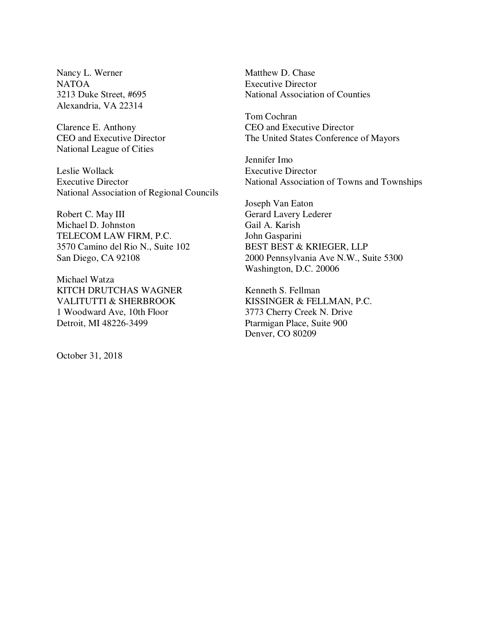Nancy L. Werner NATOA 3213 Duke Street, #695 Alexandria, VA 22314

Clarence E. Anthony CEO and Executive Director National League of Cities

Leslie Wollack Executive Director National Association of Regional Councils

Robert C. May III Michael D. Johnston TELECOM LAW FIRM, P.C. 3570 Camino del Rio N., Suite 102 San Diego, CA 92108

Michael Watza KITCH DRUTCHAS WAGNER VALITUTTI & SHERBROOK 1 Woodward Ave, 10th Floor Detroit, MI 48226-3499

October 31, 2018

Matthew D. Chase Executive Director National Association of Counties

Tom Cochran CEO and Executive Director The United States Conference of Mayors

Jennifer Imo Executive Director National Association of Towns and Townships

Joseph Van Eaton Gerard Lavery Lederer Gail A. Karish John Gasparini BEST BEST & KRIEGER, LLP 2000 Pennsylvania Ave N.W., Suite 5300 Washington, D.C. 20006

Kenneth S. Fellman KISSINGER & FELLMAN, P.C. 3773 Cherry Creek N. Drive Ptarmigan Place, Suite 900 Denver, CO 80209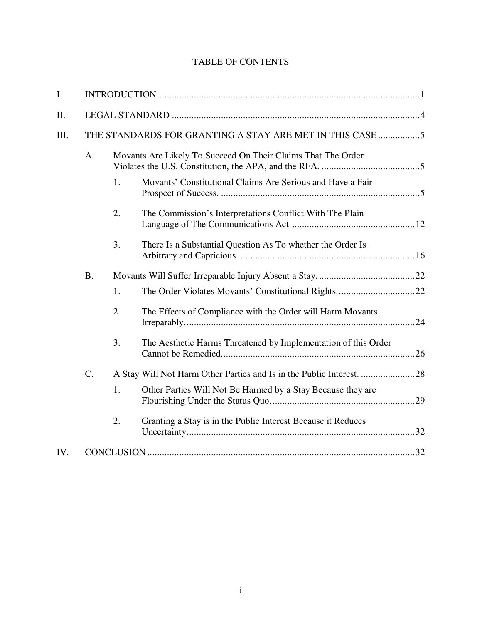# TABLE OF CONTENTS

| Ι.   |           |                                                          |                                                                |  |  |  |
|------|-----------|----------------------------------------------------------|----------------------------------------------------------------|--|--|--|
| II.  |           |                                                          |                                                                |  |  |  |
| III. |           | THE STANDARDS FOR GRANTING A STAY ARE MET IN THIS CASE 5 |                                                                |  |  |  |
|      | A.        |                                                          | Movants Are Likely To Succeed On Their Claims That The Order   |  |  |  |
|      |           | 1.                                                       | Movants' Constitutional Claims Are Serious and Have a Fair     |  |  |  |
|      |           | 2.                                                       | The Commission's Interpretations Conflict With The Plain       |  |  |  |
|      |           | 3.                                                       | There Is a Substantial Question As To whether the Order Is     |  |  |  |
|      | <b>B.</b> |                                                          |                                                                |  |  |  |
|      |           | 1.                                                       |                                                                |  |  |  |
|      |           | 2.                                                       | The Effects of Compliance with the Order will Harm Movants     |  |  |  |
|      |           | 3.                                                       | The Aesthetic Harms Threatened by Implementation of this Order |  |  |  |
|      | C.        |                                                          |                                                                |  |  |  |
|      |           | 1.                                                       | Other Parties Will Not Be Harmed by a Stay Because they are    |  |  |  |
|      |           | 2.                                                       | Granting a Stay is in the Public Interest Because it Reduces   |  |  |  |
| IV.  |           |                                                          |                                                                |  |  |  |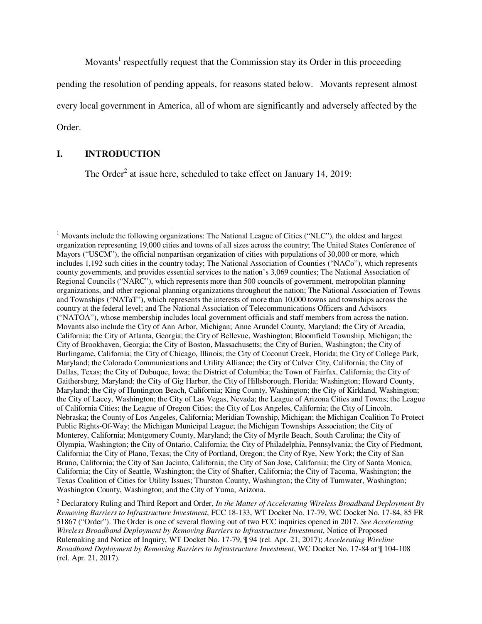Movants<sup>1</sup> respectfully request that the Commission stay its Order in this proceeding

pending the resolution of pending appeals, for reasons stated below. Movants represent almost

every local government in America, all of whom are significantly and adversely affected by the

Order.

 $\overline{a}$ 

## **I. INTRODUCTION**

The Order<sup>2</sup> at issue here, scheduled to take effect on January 14, 2019:

<sup>&</sup>lt;sup>1</sup> Movants include the following organizations: The National League of Cities ("NLC"), the oldest and largest organization representing 19,000 cities and towns of all sizes across the country; The United States Conference of Mayors ("USCM"), the official nonpartisan organization of cities with populations of 30,000 or more, which includes 1,192 such cities in the country today; The National Association of Counties ("NACo"), which represents county governments, and provides essential services to the nation's 3,069 counties; The National Association of Regional Councils ("NARC"), which represents more than 500 councils of government, metropolitan planning organizations, and other regional planning organizations throughout the nation; The National Association of Towns and Townships ("NATaT"), which represents the interests of more than 10,000 towns and townships across the country at the federal level; and The National Association of Telecommunications Officers and Advisors ("NATOA"), whose membership includes local government officials and staff members from across the nation. Movants also include the City of Ann Arbor, Michigan; Anne Arundel County, Maryland; the City of Arcadia, California; the City of Atlanta, Georgia; the City of Bellevue, Washington; Bloomfield Township, Michigan; the City of Brookhaven, Georgia; the City of Boston, Massachusetts; the City of Burien, Washington; the City of Burlingame, California; the City of Chicago, Illinois; the City of Coconut Creek, Florida; the City of College Park, Maryland; the Colorado Communications and Utility Alliance; the City of Culver City, California; the City of Dallas, Texas; the City of Dubuque, Iowa; the District of Columbia; the Town of Fairfax, California; the City of Gaithersburg, Maryland; the City of Gig Harbor, the City of Hillsborough, Florida; Washington; Howard County, Maryland; the City of Huntington Beach, California; King County, Washington; the City of Kirkland, Washington; the City of Lacey, Washington; the City of Las Vegas, Nevada; the League of Arizona Cities and Towns; the League of California Cities; the League of Oregon Cities; the City of Los Angeles, California; the City of Lincoln, Nebraska; the County of Los Angeles, California; Meridian Township, Michigan; the Michigan Coalition To Protect Public Rights-Of-Way; the Michigan Municipal League; the Michigan Townships Association; the City of Monterey, California; Montgomery County, Maryland; the City of Myrtle Beach, South Carolina; the City of Olympia, Washington; the City of Ontario, California; the City of Philadelphia, Pennsylvania; the City of Piedmont, California; the City of Plano, Texas; the City of Portland, Oregon; the City of Rye, New York; the City of San Bruno, California; the City of San Jacinto, California; the City of San Jose, California; the City of Santa Monica, California; the City of Seattle, Washington; the City of Shafter, California; the City of Tacoma, Washington; the Texas Coalition of Cities for Utility Issues; Thurston County, Washington; the City of Tumwater, Washington; Washington County, Washington; and the City of Yuma, Arizona.

<sup>2</sup> Declaratory Ruling and Third Report and Order, *In the Matter of Accelerating Wireless Broadband Deployment By Removing Barriers to Infrastructure Investment*, FCC 18-133, WT Docket No. 17-79, WC Docket No. 17-84, 85 FR 51867 ("Order"). The Order is one of several flowing out of two FCC inquiries opened in 2017. *See Accelerating Wireless Broadband Deployment by Removing Barriers to Infrastructure Investment*, Notice of Proposed Rulemaking and Notice of Inquiry, WT Docket No. 17-79, ¶ 94 (rel. Apr. 21, 2017); *Accelerating Wireline Broadband Deployment by Removing Barriers to Infrastructure Investment*, WC Docket No. 17-84 at ¶ 104-108 (rel. Apr. 21, 2017).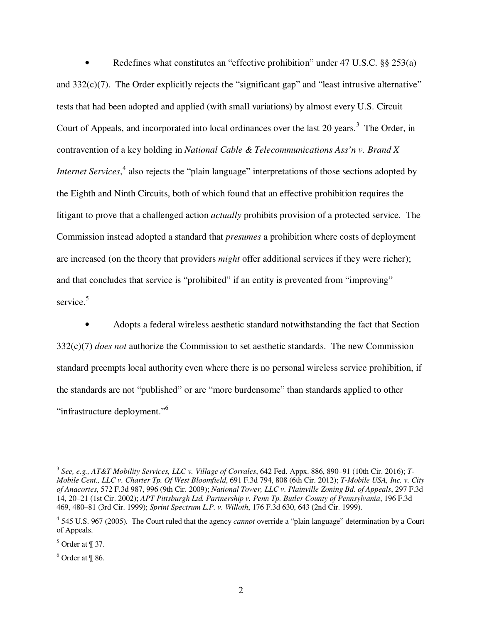• Redefines what constitutes an "effective prohibition" under 47 U.S.C. §§ 253(a) and  $332(c)(7)$ . The Order explicitly rejects the "significant gap" and "least intrusive alternative" tests that had been adopted and applied (with small variations) by almost every U.S. Circuit Court of Appeals, and incorporated into local ordinances over the last 20 years.<sup>3</sup> The Order, in contravention of a key holding in *National Cable & Telecommunications Ass'n v. Brand X Internet Services*,<sup>4</sup> also rejects the "plain language" interpretations of those sections adopted by the Eighth and Ninth Circuits, both of which found that an effective prohibition requires the litigant to prove that a challenged action *actually* prohibits provision of a protected service. The Commission instead adopted a standard that *presumes* a prohibition where costs of deployment are increased (on the theory that providers *might* offer additional services if they were richer); and that concludes that service is "prohibited" if an entity is prevented from "improving" service.<sup>5</sup>

• Adopts a federal wireless aesthetic standard notwithstanding the fact that Section 332(c)(7) *does not* authorize the Commission to set aesthetic standards. The new Commission standard preempts local authority even where there is no personal wireless service prohibition, if the standards are not "published" or are "more burdensome" than standards applied to other "infrastructure deployment."<sup>6</sup>

<sup>3</sup> *See, e.g., AT&T Mobility Services, LLC v. Village of Corrales*, 642 Fed. Appx. 886, 890–91 (10th Cir. 2016); *T-Mobile Cent., LLC v. Charter Tp. Of West Bloomfield*, 691 F.3d 794, 808 (6th Cir. 2012); *T-Mobile USA, Inc. v. City of Anacortes*, 572 F.3d 987, 996 (9th Cir. 2009); *National Tower, LLC v. Plainville Zoning Bd. of Appeals*, 297 F.3d 14, 20–21 (1st Cir. 2002); *APT Pittsburgh Ltd. Partnership v. Penn Tp. Butler County of Pennsylvania*, 196 F.3d 469, 480–81 (3rd Cir. 1999); *Sprint Spectrum L.P. v. Willoth*, 176 F.3d 630, 643 (2nd Cir. 1999).

<sup>4</sup> 545 U.S. 967 (2005). The Court ruled that the agency *cannot* override a "plain language" determination by a Court of Appeals.

 $<sup>5</sup>$  Order at  $\parallel$  37.</sup>

 $6$  Order at  $\frac{9}{18}$  86.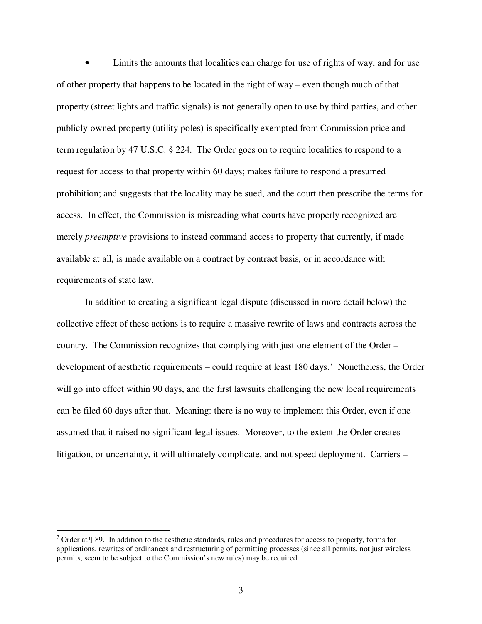• Limits the amounts that localities can charge for use of rights of way, and for use of other property that happens to be located in the right of way – even though much of that property (street lights and traffic signals) is not generally open to use by third parties, and other publicly-owned property (utility poles) is specifically exempted from Commission price and term regulation by 47 U.S.C. § 224. The Order goes on to require localities to respond to a request for access to that property within 60 days; makes failure to respond a presumed prohibition; and suggests that the locality may be sued, and the court then prescribe the terms for access. In effect, the Commission is misreading what courts have properly recognized are merely *preemptive* provisions to instead command access to property that currently, if made available at all, is made available on a contract by contract basis, or in accordance with requirements of state law.

In addition to creating a significant legal dispute (discussed in more detail below) the collective effect of these actions is to require a massive rewrite of laws and contracts across the country. The Commission recognizes that complying with just one element of the Order – development of aesthetic requirements – could require at least 180 days.<sup>7</sup> Nonetheless, the Order will go into effect within 90 days, and the first lawsuits challenging the new local requirements can be filed 60 days after that. Meaning: there is no way to implement this Order, even if one assumed that it raised no significant legal issues. Moreover, to the extent the Order creates litigation, or uncertainty, it will ultimately complicate, and not speed deployment. Carriers –

 $^7$  Order at  $\frac{1}{3}$  89. In addition to the aesthetic standards, rules and procedures for access to property, forms for applications, rewrites of ordinances and restructuring of permitting processes (since all permits, not just wireless permits, seem to be subject to the Commission's new rules) may be required.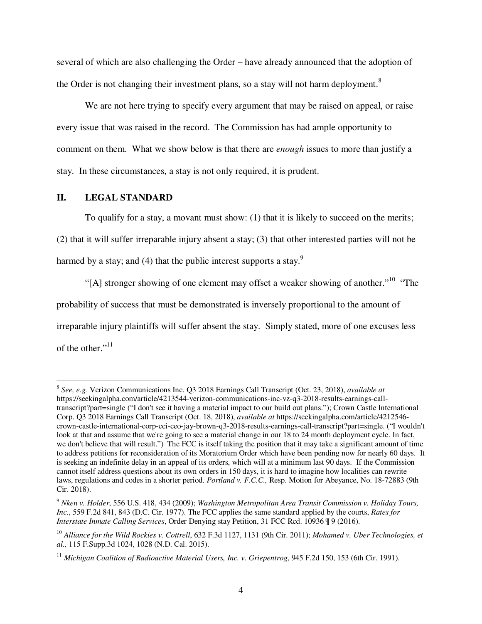several of which are also challenging the Order – have already announced that the adoption of the Order is not changing their investment plans, so a stay will not harm deployment. $8$ 

We are not here trying to specify every argument that may be raised on appeal, or raise every issue that was raised in the record. The Commission has had ample opportunity to comment on them. What we show below is that there are *enough* issues to more than justify a stay. In these circumstances, a stay is not only required, it is prudent.

### **II. LEGAL STANDARD**

-

To qualify for a stay, a movant must show: (1) that it is likely to succeed on the merits;

(2) that it will suffer irreparable injury absent a stay; (3) that other interested parties will not be harmed by a stay; and (4) that the public interest supports a stay. $9$ 

"[A] stronger showing of one element may offset a weaker showing of another."<sup>10</sup> "The probability of success that must be demonstrated is inversely proportional to the amount of irreparable injury plaintiffs will suffer absent the stay. Simply stated, more of one excuses less of the other."<sup>11</sup>

<sup>8</sup> *See, e.g.* Verizon Communications Inc. Q3 2018 Earnings Call Transcript (Oct. 23, 2018), *available at*  https://seekingalpha.com/article/4213544-verizon-communications-inc-vz-q3-2018-results-earnings-calltranscript?part=single ("I don't see it having a material impact to our build out plans."); Crown Castle International Corp. Q3 2018 Earnings Call Transcript (Oct. 18, 2018), *available at* https://seekingalpha.com/article/4212546 crown-castle-international-corp-cci-ceo-jay-brown-q3-2018-results-earnings-call-transcript?part=single. ("I wouldn't look at that and assume that we're going to see a material change in our 18 to 24 month deployment cycle. In fact, we don't believe that will result.") The FCC is itself taking the position that it may take a significant amount of time to address petitions for reconsideration of its Moratorium Order which have been pending now for nearly 60 days. It is seeking an indefinite delay in an appeal of its orders, which will at a minimum last 90 days. If the Commission cannot itself address questions about its own orders in 150 days, it is hard to imagine how localities can rewrite laws, regulations and codes in a shorter period. *Portland v. F.C.C.,* Resp. Motion for Abeyance, No. 18-72883 (9th Cir. 2018).

<sup>9</sup> *Nken v. Holder*, 556 U.S. 418, 434 (2009); *Washington Metropolitan Area Transit Commission v. Holiday Tours, Inc.*, 559 F.2d 841, 843 (D.C. Cir. 1977). The FCC applies the same standard applied by the courts, *Rates for Interstate Inmate Calling Services*, Order Denying stay Petition, 31 FCC Rcd. 10936 ¶ 9 (2016).

<sup>10</sup> *Alliance for the Wild Rockies v. Cottrell*, 632 F.3d 1127, 1131 (9th Cir. 2011); *Mohamed v. Uber Technologies, et al.,* 115 F.Supp.3d 1024, 1028 (N.D. Cal. 2015).

<sup>&</sup>lt;sup>11</sup> Michigan Coalition of Radioactive Material Users, Inc. v. Griepentrog, 945 F.2d 150, 153 (6th Cir. 1991).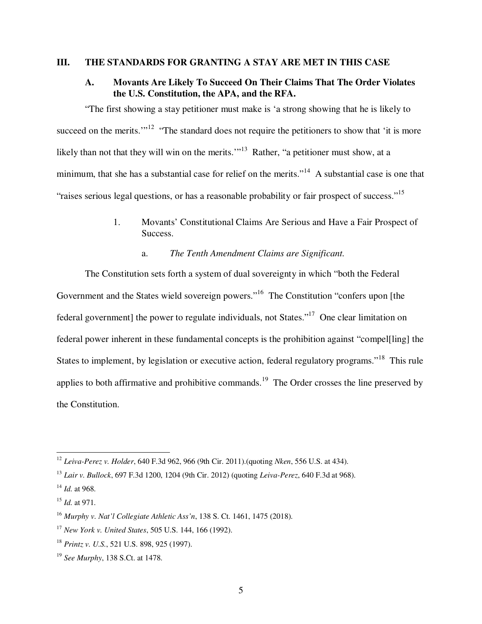### **III. THE STANDARDS FOR GRANTING A STAY ARE MET IN THIS CASE**

## **A. Movants Are Likely To Succeed On Their Claims That The Order Violates the U.S. Constitution, the APA, and the RFA.**

"The first showing a stay petitioner must make is 'a strong showing that he is likely to succeed on the merits."<sup>12</sup> "The standard does not require the petitioners to show that 'it is more likely than not that they will win on the merits."<sup>13</sup> Rather, "a petitioner must show, at a minimum, that she has a substantial case for relief on the merits."<sup>14</sup> A substantial case is one that "raises serious legal questions, or has a reasonable probability or fair prospect of success."<sup>15</sup>

- 1. Movants' Constitutional Claims Are Serious and Have a Fair Prospect of Success.
	- a. *The Tenth Amendment Claims are Significant.*

The Constitution sets forth a system of dual sovereignty in which "both the Federal Government and the States wield sovereign powers."<sup>16</sup> The Constitution "confers upon [the federal government] the power to regulate individuals, not States."<sup>17</sup> One clear limitation on federal power inherent in these fundamental concepts is the prohibition against "compel[ling] the States to implement, by legislation or executive action, federal regulatory programs."<sup>18</sup> This rule applies to both affirmative and prohibitive commands.<sup>19</sup> The Order crosses the line preserved by the Constitution.

<sup>12</sup> *Leiva-Perez v. Holder*, 640 F.3d 962, 966 (9th Cir. 2011).(quoting *Nken*, 556 U.S. at 434).

<sup>13</sup> *Lair v. Bullock*, 697 F.3d 1200, 1204 (9th Cir. 2012) (quoting *Leiva-Perez*, 640 F.3d at 968).

<sup>14</sup> *Id.* at 968.

<sup>15</sup> *Id.* at 971.

<sup>16</sup> *Murphy v. Nat'l Collegiate Athletic Ass'n*, 138 S. Ct. 1461, 1475 (2018).

<sup>17</sup> *New York v. United States*, 505 U.S. 144, 166 (1992).

<sup>18</sup> *Printz v. U.S.*, 521 U.S. 898, 925 (1997).

<sup>19</sup> *See Murphy*, 138 S.Ct. at 1478.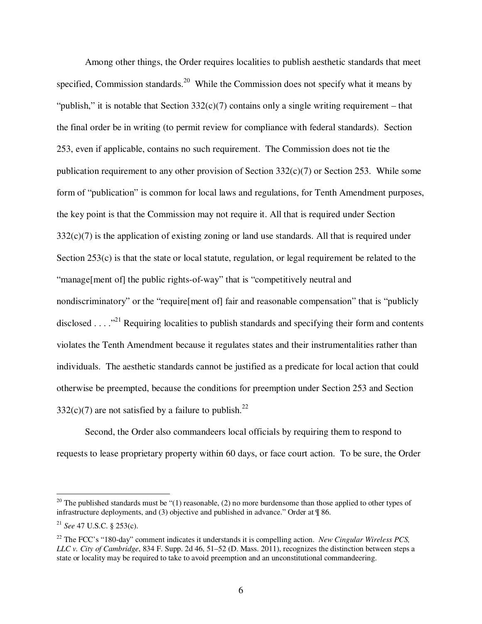Among other things, the Order requires localities to publish aesthetic standards that meet specified, Commission standards.<sup>20</sup> While the Commission does not specify what it means by "publish," it is notable that Section  $332(c)(7)$  contains only a single writing requirement – that the final order be in writing (to permit review for compliance with federal standards). Section 253, even if applicable, contains no such requirement. The Commission does not tie the publication requirement to any other provision of Section  $332(c)(7)$  or Section 253. While some form of "publication" is common for local laws and regulations, for Tenth Amendment purposes, the key point is that the Commission may not require it. All that is required under Section  $332(c)(7)$  is the application of existing zoning or land use standards. All that is required under Section 253(c) is that the state or local statute, regulation, or legal requirement be related to the "manage[ment of] the public rights-of-way" that is "competitively neutral and nondiscriminatory" or the "require[ment of] fair and reasonable compensation" that is "publicly disclosed . . . .<sup>321</sup> Requiring localities to publish standards and specifying their form and contents violates the Tenth Amendment because it regulates states and their instrumentalities rather than individuals. The aesthetic standards cannot be justified as a predicate for local action that could otherwise be preempted, because the conditions for preemption under Section 253 and Section  $332(c)(7)$  are not satisfied by a failure to publish.<sup>22</sup>

Second, the Order also commandeers local officials by requiring them to respond to requests to lease proprietary property within 60 days, or face court action. To be sure, the Order

<sup>&</sup>lt;sup>20</sup> The published standards must be " $(1)$  reasonable,  $(2)$  no more burdensome than those applied to other types of infrastructure deployments, and (3) objective and published in advance." Order at ¶ 86.

<sup>&</sup>lt;sup>21</sup> *See* 47 U.S.C. § 253(c).

<sup>22</sup> The FCC's "180-day" comment indicates it understands it is compelling action. *New Cingular Wireless PCS, LLC v. City of Cambridge*, 834 F. Supp. 2d 46, 51–52 (D. Mass. 2011), recognizes the distinction between steps a state or locality may be required to take to avoid preemption and an unconstitutional commandeering.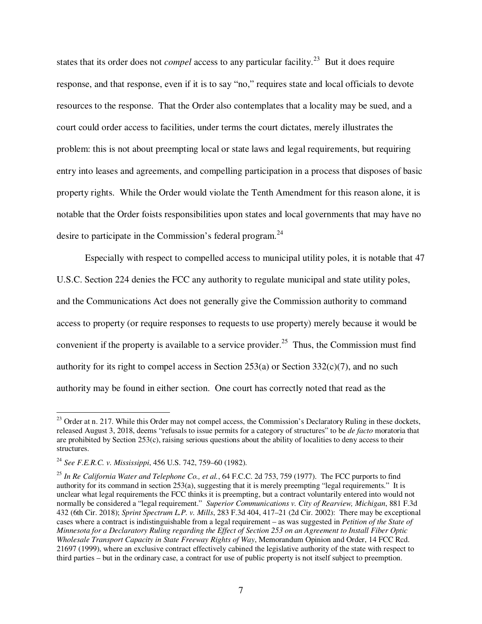states that its order does not *compel* access to any particular facility.<sup>23</sup> But it does require response, and that response, even if it is to say "no," requires state and local officials to devote resources to the response. That the Order also contemplates that a locality may be sued, and a court could order access to facilities, under terms the court dictates, merely illustrates the problem: this is not about preempting local or state laws and legal requirements, but requiring entry into leases and agreements, and compelling participation in a process that disposes of basic property rights. While the Order would violate the Tenth Amendment for this reason alone, it is notable that the Order foists responsibilities upon states and local governments that may have no desire to participate in the Commission's federal program.<sup>24</sup>

Especially with respect to compelled access to municipal utility poles, it is notable that 47 U.S.C. Section 224 denies the FCC any authority to regulate municipal and state utility poles, and the Communications Act does not generally give the Commission authority to command access to property (or require responses to requests to use property) merely because it would be convenient if the property is available to a service provider.<sup>25</sup> Thus, the Commission must find authority for its right to compel access in Section  $253(a)$  or Section  $332(c)(7)$ , and no such authority may be found in either section. One court has correctly noted that read as the

 $2<sup>23</sup>$  Order at n. 217. While this Order may not compel access, the Commission's Declaratory Ruling in these dockets, released August 3, 2018, deems "refusals to issue permits for a category of structures" to be *de facto* moratoria that are prohibited by Section 253(c), raising serious questions about the ability of localities to deny access to their structures.

<sup>24</sup> *See F.E.R.C. v. Mississippi*, 456 U.S. 742, 759–60 (1982).

<sup>25</sup> *In Re California Water and Telephone Co., et al.*, 64 F.C.C. 2d 753, 759 (1977). The FCC purports to find authority for its command in section 253(a), suggesting that it is merely preempting "legal requirements." It is unclear what legal requirements the FCC thinks it is preempting, but a contract voluntarily entered into would not normally be considered a "legal requirement." *Superior Communications v. City of Rearview, Michigan*, 881 F.3d 432 (6th Cir. 2018); *Sprint Spectrum L.P. v. Mills*, 283 F.3d 404, 417–21 (2d Cir. 2002): There may be exceptional cases where a contract is indistinguishable from a legal requirement – as was suggested in *Petition of the State of Minnesota for a Declaratory Ruling regarding the Effect of Section 253 on an Agreement to Install Fiber Optic Wholesale Transport Capacity in State Freeway Rights of Way*, Memorandum Opinion and Order, 14 FCC Rcd. 21697 (1999), where an exclusive contract effectively cabined the legislative authority of the state with respect to third parties – but in the ordinary case, a contract for use of public property is not itself subject to preemption.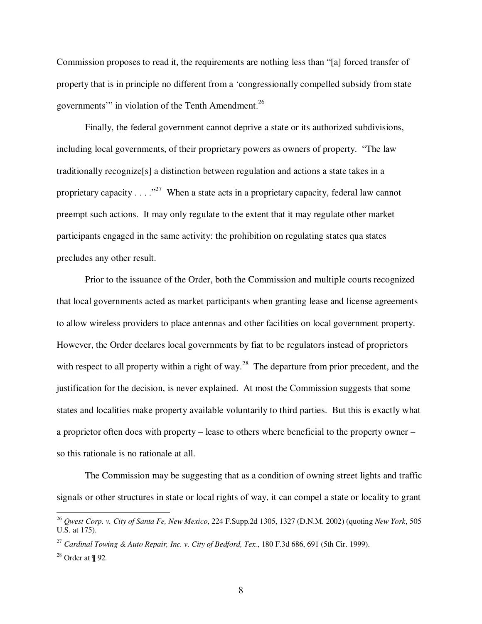Commission proposes to read it, the requirements are nothing less than "[a] forced transfer of property that is in principle no different from a 'congressionally compelled subsidy from state governments'" in violation of the Tenth Amendment.<sup>26</sup>

Finally, the federal government cannot deprive a state or its authorized subdivisions, including local governments, of their proprietary powers as owners of property. "The law traditionally recognize[s] a distinction between regulation and actions a state takes in a proprietary capacity  $\dots$   $\cdot$  <sup>27</sup> When a state acts in a proprietary capacity, federal law cannot preempt such actions. It may only regulate to the extent that it may regulate other market participants engaged in the same activity: the prohibition on regulating states qua states precludes any other result.

Prior to the issuance of the Order, both the Commission and multiple courts recognized that local governments acted as market participants when granting lease and license agreements to allow wireless providers to place antennas and other facilities on local government property. However, the Order declares local governments by fiat to be regulators instead of proprietors with respect to all property within a right of way.<sup>28</sup> The departure from prior precedent, and the justification for the decision, is never explained. At most the Commission suggests that some states and localities make property available voluntarily to third parties. But this is exactly what a proprietor often does with property – lease to others where beneficial to the property owner – so this rationale is no rationale at all.

The Commission may be suggesting that as a condition of owning street lights and traffic signals or other structures in state or local rights of way, it can compel a state or locality to grant

<sup>26</sup> *Qwest Corp. v. City of Santa Fe, New Mexico*, 224 F.Supp.2d 1305, 1327 (D.N.M. 2002) (quoting *New York*, 505 U.S. at 175).

<sup>&</sup>lt;sup>27</sup> *Cardinal Towing & Auto Repair, Inc. v. City of Bedford, Tex., 180 F.3d 686, 691 (5th Cir. 1999).* 

<sup>28</sup> Order at ¶ 92*.*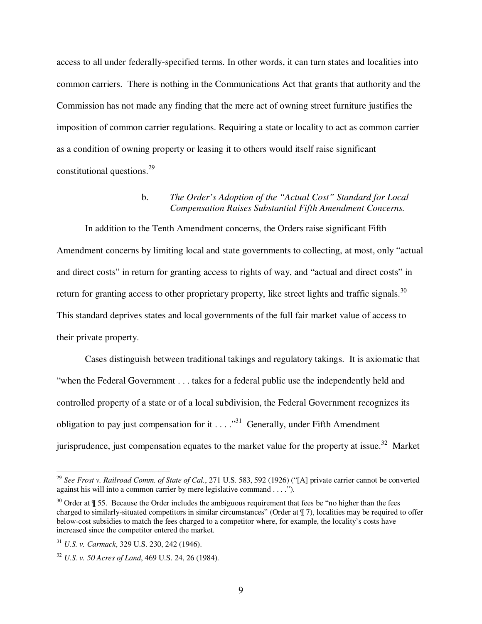access to all under federally-specified terms. In other words, it can turn states and localities into common carriers. There is nothing in the Communications Act that grants that authority and the Commission has not made any finding that the mere act of owning street furniture justifies the imposition of common carrier regulations. Requiring a state or locality to act as common carrier as a condition of owning property or leasing it to others would itself raise significant constitutional questions.<sup>29</sup>

### b. *The Order's Adoption of the "Actual Cost" Standard for Local Compensation Raises Substantial Fifth Amendment Concerns.*

In addition to the Tenth Amendment concerns, the Orders raise significant Fifth Amendment concerns by limiting local and state governments to collecting, at most, only "actual and direct costs" in return for granting access to rights of way, and "actual and direct costs" in return for granting access to other proprietary property, like street lights and traffic signals.<sup>30</sup> This standard deprives states and local governments of the full fair market value of access to their private property.

Cases distinguish between traditional takings and regulatory takings. It is axiomatic that "when the Federal Government . . . takes for a federal public use the independently held and controlled property of a state or of a local subdivision, the Federal Government recognizes its obligation to pay just compensation for it  $\dots$   $\cdot$ <sup>31</sup> Generally, under Fifth Amendment jurisprudence, just compensation equates to the market value for the property at issue.<sup>32</sup> Market

<u>.</u>

<sup>29</sup> *See Frost v. Railroad Comm. of State of Cal.*, 271 U.S. 583, 592 (1926) ("[A] private carrier cannot be converted against his will into a common carrier by mere legislative command . . . .").

 $30$  Order at  $\sqrt{9}$  55. Because the Order includes the ambiguous requirement that fees be "no higher than the fees charged to similarly-situated competitors in similar circumstances" (Order at ¶ 7), localities may be required to offer below-cost subsidies to match the fees charged to a competitor where, for example, the locality's costs have increased since the competitor entered the market.

<sup>31</sup> *U.S. v. Carmack*, 329 U.S. 230, 242 (1946).

<sup>32</sup> *U.S. v. 50 Acres of Land*, 469 U.S. 24, 26 (1984).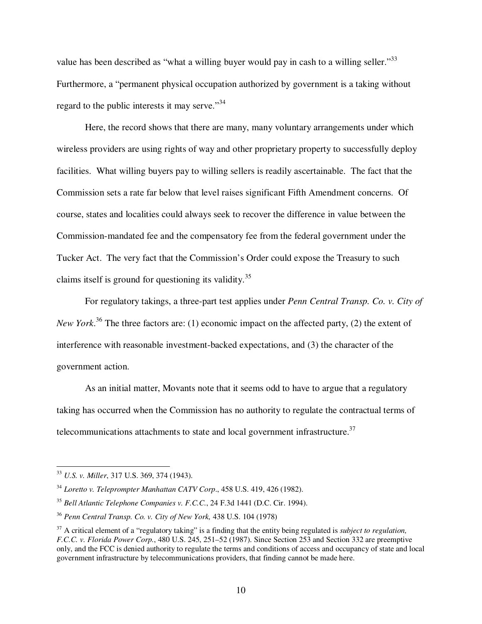value has been described as "what a willing buyer would pay in cash to a willing seller."<sup>33</sup> Furthermore, a "permanent physical occupation authorized by government is a taking without regard to the public interests it may serve."<sup>34</sup>

Here, the record shows that there are many, many voluntary arrangements under which wireless providers are using rights of way and other proprietary property to successfully deploy facilities. What willing buyers pay to willing sellers is readily ascertainable. The fact that the Commission sets a rate far below that level raises significant Fifth Amendment concerns. Of course, states and localities could always seek to recover the difference in value between the Commission-mandated fee and the compensatory fee from the federal government under the Tucker Act. The very fact that the Commission's Order could expose the Treasury to such claims itself is ground for questioning its validity.<sup>35</sup>

For regulatory takings, a three-part test applies under *Penn Central Transp. Co. v. City of New York*. <sup>36</sup> The three factors are: (1) economic impact on the affected party, (2) the extent of interference with reasonable investment-backed expectations, and (3) the character of the government action.

As an initial matter, Movants note that it seems odd to have to argue that a regulatory taking has occurred when the Commission has no authority to regulate the contractual terms of telecommunications attachments to state and local government infrastructure. $37$ 

<sup>33</sup> *U.S. v. Miller*, 317 U.S. 369, 374 (1943).

<sup>34</sup> *Loretto v. Teleprompter Manhattan CATV Corp*., 458 U.S. 419, 426 (1982).

<sup>35</sup> *Bell Atlantic Telephone Companies v. F.C.C.*, 24 F.3d 1441 (D.C. Cir. 1994).

<sup>36</sup> *Penn Central Transp. Co. v. City of New York,* 438 U.S. 104 (1978)

<sup>37</sup> A critical element of a "regulatory taking" is a finding that the entity being regulated is *subject to regulation, F.C.C. v. Florida Power Corp.*, 480 U.S. 245, 251–52 (1987). Since Section 253 and Section 332 are preemptive only, and the FCC is denied authority to regulate the terms and conditions of access and occupancy of state and local government infrastructure by telecommunications providers, that finding cannot be made here.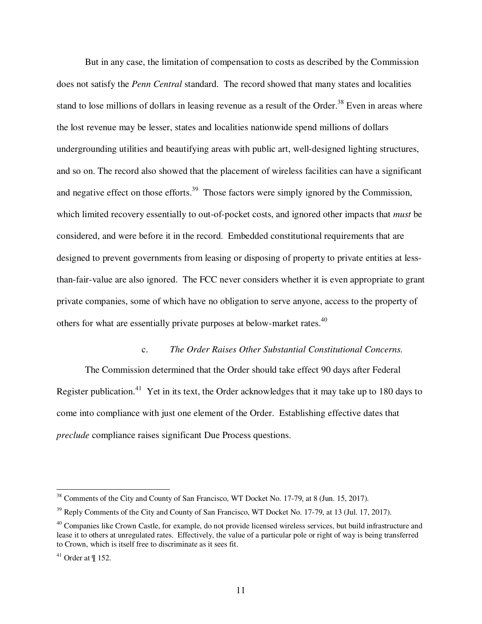But in any case, the limitation of compensation to costs as described by the Commission does not satisfy the *Penn Central* standard. The record showed that many states and localities stand to lose millions of dollars in leasing revenue as a result of the Order.<sup>38</sup> Even in areas where the lost revenue may be lesser, states and localities nationwide spend millions of dollars undergrounding utilities and beautifying areas with public art, well-designed lighting structures, and so on. The record also showed that the placement of wireless facilities can have a significant and negative effect on those efforts.<sup>39</sup> Those factors were simply ignored by the Commission, which limited recovery essentially to out-of-pocket costs, and ignored other impacts that *must* be considered, and were before it in the record. Embedded constitutional requirements that are designed to prevent governments from leasing or disposing of property to private entities at lessthan-fair-value are also ignored. The FCC never considers whether it is even appropriate to grant private companies, some of which have no obligation to serve anyone, access to the property of others for what are essentially private purposes at below-market rates.<sup>40</sup>

#### c. *The Order Raises Other Substantial Constitutional Concerns.*

The Commission determined that the Order should take effect 90 days after Federal Register publication.<sup>41</sup> Yet in its text, the Order acknowledges that it may take up to 180 days to come into compliance with just one element of the Order. Establishing effective dates that *preclude* compliance raises significant Due Process questions.

<sup>&</sup>lt;sup>38</sup> Comments of the City and County of San Francisco, WT Docket No. 17-79, at 8 (Jun. 15, 2017).

<sup>&</sup>lt;sup>39</sup> Reply Comments of the City and County of San Francisco, WT Docket No. 17-79, at 13 (Jul. 17, 2017).

 $40$  Companies like Crown Castle, for example, do not provide licensed wireless services, but build infrastructure and lease it to others at unregulated rates. Effectively, the value of a particular pole or right of way is being transferred to Crown, which is itself free to discriminate as it sees fit.

 $41$  Order at  $\P$  152.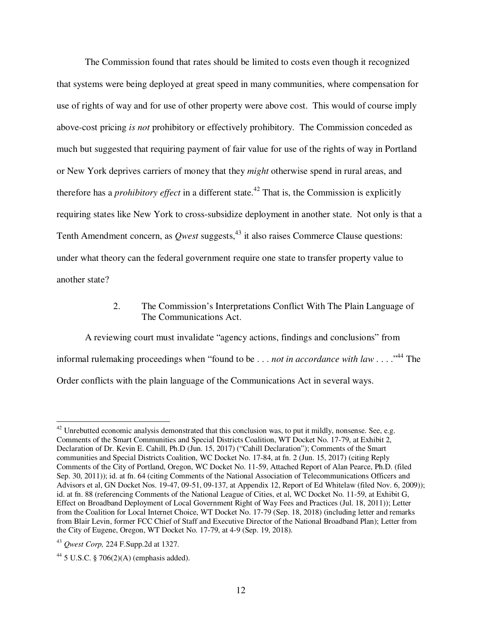The Commission found that rates should be limited to costs even though it recognized that systems were being deployed at great speed in many communities, where compensation for use of rights of way and for use of other property were above cost. This would of course imply above-cost pricing *is not* prohibitory or effectively prohibitory. The Commission conceded as much but suggested that requiring payment of fair value for use of the rights of way in Portland or New York deprives carriers of money that they *might* otherwise spend in rural areas, and therefore has a *prohibitory effect* in a different state.<sup>42</sup> That is, the Commission is explicitly requiring states like New York to cross-subsidize deployment in another state. Not only is that a Tenth Amendment concern, as *Qwest* suggests,<sup>43</sup> it also raises Commerce Clause questions: under what theory can the federal government require one state to transfer property value to another state?

### 2. The Commission's Interpretations Conflict With The Plain Language of The Communications Act.

A reviewing court must invalidate "agency actions, findings and conclusions" from informal rulemaking proceedings when "found to be . . . *not in accordance with law* . . . .<sup>44</sup> The Order conflicts with the plain language of the Communications Act in several ways.

<sup>-</sup> $42$  Unrebutted economic analysis demonstrated that this conclusion was, to put it mildly, nonsense. See, e.g. Comments of the Smart Communities and Special Districts Coalition, WT Docket No. 17-79, at Exhibit 2, Declaration of Dr. Kevin E. Cahill, Ph.D (Jun. 15, 2017) ("Cahill Declaration"); Comments of the Smart communities and Special Districts Coalition, WC Docket No. 17-84, at fn. 2 (Jun. 15, 2017) (citing Reply Comments of the City of Portland, Oregon, WC Docket No. 11-59, Attached Report of Alan Pearce, Ph.D. (filed Sep. 30, 2011)); id. at fn. 64 (citing Comments of the National Association of Telecommunications Officers and Advisors et al, GN Docket Nos. 19-47, 09-51, 09-137, at Appendix 12, Report of Ed Whitelaw (filed Nov. 6, 2009)); id. at fn. 88 (referencing Comments of the National League of Cities, et al, WC Docket No. 11-59, at Exhibit G, Effect on Broadband Deployment of Local Government Right of Way Fees and Practices (Jul. 18, 2011)); Letter from the Coalition for Local Internet Choice, WT Docket No. 17-79 (Sep. 18, 2018) (including letter and remarks from Blair Levin, former FCC Chief of Staff and Executive Director of the National Broadband Plan); Letter from the City of Eugene, Oregon, WT Docket No. 17-79, at 4-9 (Sep. 19, 2018).

<sup>43</sup> *Qwest Corp,* 224 F.Supp.2d at 1327.

<sup>&</sup>lt;sup>44</sup> 5 U.S.C. § 706(2)(A) (emphasis added).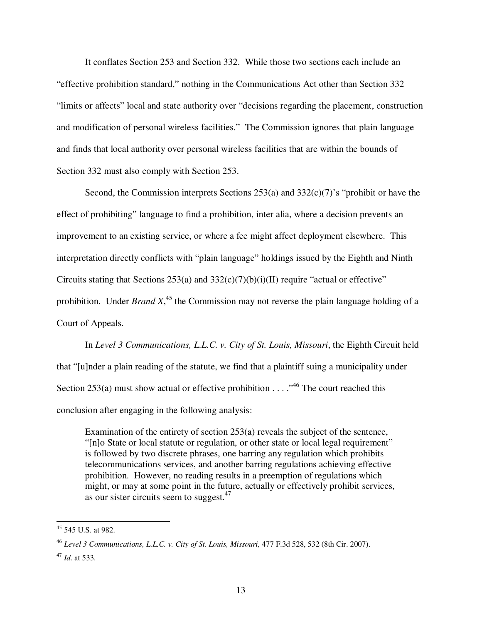It conflates Section 253 and Section 332. While those two sections each include an "effective prohibition standard," nothing in the Communications Act other than Section 332 "limits or affects" local and state authority over "decisions regarding the placement, construction and modification of personal wireless facilities." The Commission ignores that plain language and finds that local authority over personal wireless facilities that are within the bounds of Section 332 must also comply with Section 253.

Second, the Commission interprets Sections 253(a) and 332(c)(7)'s "prohibit or have the effect of prohibiting" language to find a prohibition, inter alia, where a decision prevents an improvement to an existing service, or where a fee might affect deployment elsewhere. This interpretation directly conflicts with "plain language" holdings issued by the Eighth and Ninth Circuits stating that Sections 253(a) and  $332(c)(7)(b)(i)(II)$  require "actual or effective" prohibition. Under *Brand X*, <sup>45</sup> the Commission may not reverse the plain language holding of a Court of Appeals.

In *Level 3 Communications, L.L.C. v. City of St. Louis, Missouri*, the Eighth Circuit held that "[u]nder a plain reading of the statute, we find that a plaintiff suing a municipality under Section 253(a) must show actual or effective prohibition . . . .<sup>46</sup> The court reached this conclusion after engaging in the following analysis:

Examination of the entirety of section 253(a) reveals the subject of the sentence, "[n]o State or local statute or regulation, or other state or local legal requirement" is followed by two discrete phrases, one barring any regulation which prohibits telecommunications services, and another barring regulations achieving effective prohibition. However, no reading results in a preemption of regulations which might, or may at some point in the future, actually or effectively prohibit services, as our sister circuits seem to suggest.<sup>47</sup>

 $45$  545 U.S. at 982.

<sup>46</sup> *Level 3 Communications, L.L.C. v. City of St. Louis, Missouri,* 477 F.3d 528, 532 (8th Cir. 2007).

<sup>47</sup> *Id.* at 533.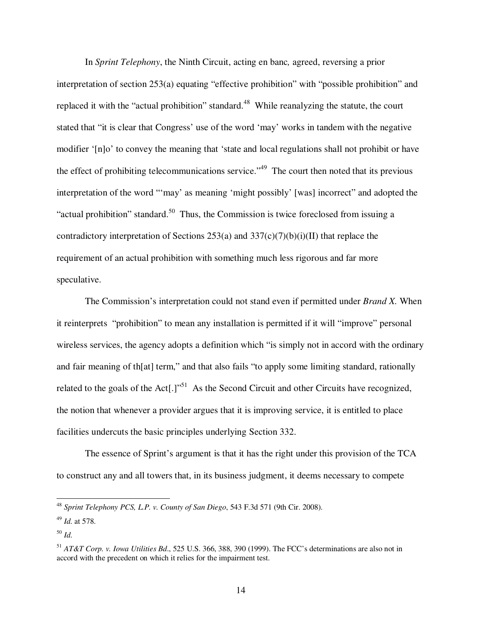In *Sprint Telephony*, the Ninth Circuit, acting en banc*,* agreed, reversing a prior interpretation of section 253(a) equating "effective prohibition" with "possible prohibition" and replaced it with the "actual prohibition" standard.<sup>48</sup> While reanalyzing the statute, the court stated that "it is clear that Congress' use of the word 'may' works in tandem with the negative modifier '[n]o' to convey the meaning that 'state and local regulations shall not prohibit or have the effect of prohibiting telecommunications service."<sup>49</sup> The court then noted that its previous interpretation of the word "'may' as meaning 'might possibly' [was] incorrect" and adopted the "actual prohibition" standard.<sup>50</sup> Thus, the Commission is twice foreclosed from issuing a contradictory interpretation of Sections 253(a) and  $337(c)(7)(b)(i)(II)$  that replace the requirement of an actual prohibition with something much less rigorous and far more speculative.

The Commission's interpretation could not stand even if permitted under *Brand X.* When it reinterprets "prohibition" to mean any installation is permitted if it will "improve" personal wireless services, the agency adopts a definition which "is simply not in accord with the ordinary and fair meaning of th[at] term," and that also fails "to apply some limiting standard, rationally related to the goals of the Act<sup>[1]</sup>.<sup>51</sup> As the Second Circuit and other Circuits have recognized, the notion that whenever a provider argues that it is improving service, it is entitled to place facilities undercuts the basic principles underlying Section 332.

The essence of Sprint's argument is that it has the right under this provision of the TCA to construct any and all towers that, in its business judgment, it deems necessary to compete

<sup>48</sup> *Sprint Telephony PCS, L.P. v. County of San Diego*, 543 F.3d 571 (9th Cir. 2008).

<sup>49</sup> *Id.* at 578.

<sup>50</sup> *Id.* 

<sup>51</sup> *AT&T Corp. v. Iowa Utilities Bd*., 525 U.S. 366, 388, 390 (1999). The FCC's determinations are also not in accord with the precedent on which it relies for the impairment test.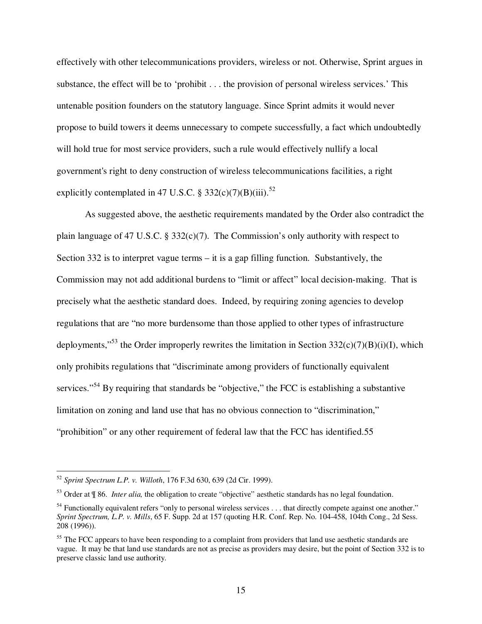effectively with other telecommunications providers, wireless or not. Otherwise, Sprint argues in substance, the effect will be to 'prohibit . . . the provision of personal wireless services.' This untenable position founders on the statutory language. Since Sprint admits it would never propose to build towers it deems unnecessary to compete successfully, a fact which undoubtedly will hold true for most service providers, such a rule would effectively nullify a local government's right to deny construction of wireless telecommunications facilities, a right explicitly contemplated in 47 U.S.C. § 332(c)(7)(B)(iii).<sup>52</sup>

As suggested above, the aesthetic requirements mandated by the Order also contradict the plain language of 47 U.S.C. § 332 $(c)(7)$ . The Commission's only authority with respect to Section 332 is to interpret vague terms – it is a gap filling function. Substantively, the Commission may not add additional burdens to "limit or affect" local decision-making. That is precisely what the aesthetic standard does. Indeed, by requiring zoning agencies to develop regulations that are "no more burdensome than those applied to other types of infrastructure deployments,<sup> $53$ </sup> the Order improperly rewrites the limitation in Section 332(c)(7)(B)(i)(I), which only prohibits regulations that "discriminate among providers of functionally equivalent services."<sup>54</sup> By requiring that standards be "objective," the FCC is establishing a substantive limitation on zoning and land use that has no obvious connection to "discrimination," "prohibition" or any other requirement of federal law that the FCC has identified.55

<u>.</u>

<sup>52</sup> *Sprint Spectrum L.P. v. Willoth*, 176 F.3d 630, 639 (2d Cir. 1999).

<sup>53</sup> Order at ¶ 86. *Inter alia,* the obligation to create "objective" aesthetic standards has no legal foundation.

 $54$  Functionally equivalent refers "only to personal wireless services . . . that directly compete against one another." *Sprint Spectrum, L.P. v. Mills*, 65 F. Supp. 2d at 157 (quoting H.R. Conf. Rep. No. 104-458, 104th Cong., 2d Sess. 208 (1996)).

<sup>&</sup>lt;sup>55</sup> The FCC appears to have been responding to a complaint from providers that land use aesthetic standards are vague. It may be that land use standards are not as precise as providers may desire, but the point of Section 332 is to preserve classic land use authority.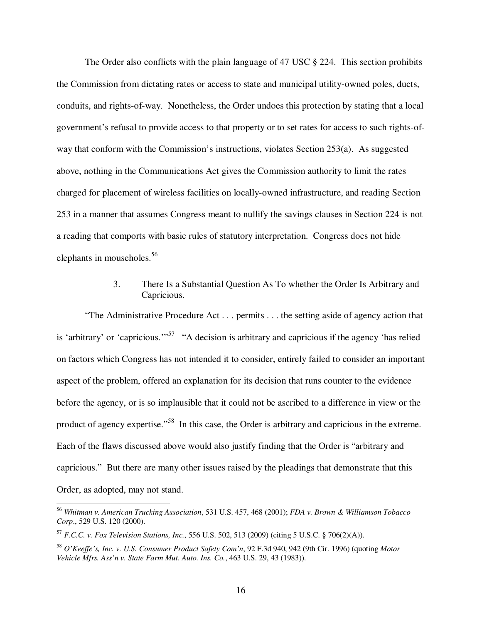The Order also conflicts with the plain language of 47 USC § 224. This section prohibits the Commission from dictating rates or access to state and municipal utility-owned poles, ducts, conduits, and rights-of-way. Nonetheless, the Order undoes this protection by stating that a local government's refusal to provide access to that property or to set rates for access to such rights-ofway that conform with the Commission's instructions, violates Section 253(a). As suggested above, nothing in the Communications Act gives the Commission authority to limit the rates charged for placement of wireless facilities on locally-owned infrastructure, and reading Section 253 in a manner that assumes Congress meant to nullify the savings clauses in Section 224 is not a reading that comports with basic rules of statutory interpretation. Congress does not hide elephants in mouseholes.<sup>56</sup>

## 3. There Is a Substantial Question As To whether the Order Is Arbitrary and Capricious.

"The Administrative Procedure Act . . . permits . . . the setting aside of agency action that is 'arbitrary' or 'capricious.'"<sup>57</sup> "A decision is arbitrary and capricious if the agency 'has relied on factors which Congress has not intended it to consider, entirely failed to consider an important aspect of the problem, offered an explanation for its decision that runs counter to the evidence before the agency, or is so implausible that it could not be ascribed to a difference in view or the product of agency expertise."<sup>58</sup> In this case, the Order is arbitrary and capricious in the extreme. Each of the flaws discussed above would also justify finding that the Order is "arbitrary and capricious." But there are many other issues raised by the pleadings that demonstrate that this Order, as adopted, may not stand.

<sup>56</sup> *Whitman v. American Trucking Association*, 531 U.S. 457, 468 (2001); *FDA v. Brown & Williamson Tobacco Corp*., 529 U.S. 120 (2000).

<sup>57</sup> *F.C.C. v. Fox Television Stations, Inc.*, 556 U.S. 502, 513 (2009) (citing 5 U.S.C. § 706(2)(A)).

<sup>58</sup> *O'Keeffe's, Inc. v. U.S. Consumer Product Safety Com'n*, 92 F.3d 940, 942 (9th Cir. 1996) (quoting *Motor Vehicle Mfrs. Ass'n v. State Farm Mut. Auto. Ins. Co.*, 463 U.S. 29, 43 (1983)).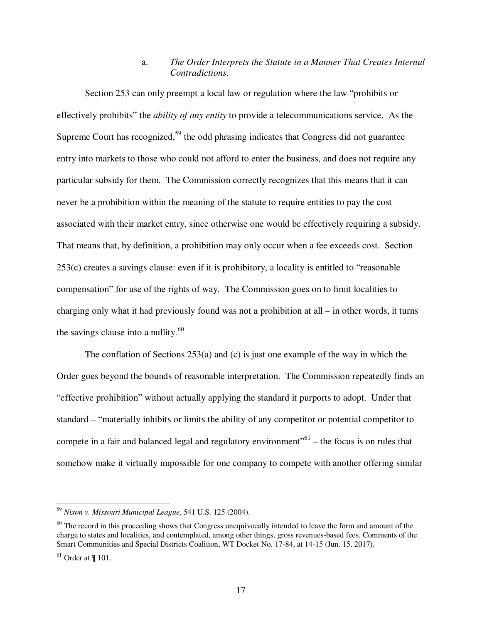## a. *The Order Interprets the Statute in a Manner That Creates Internal Contradictions.*

Section 253 can only preempt a local law or regulation where the law "prohibits or effectively prohibits" the *ability of any entity* to provide a telecommunications service. As the Supreme Court has recognized,<sup>59</sup> the odd phrasing indicates that Congress did not guarantee entry into markets to those who could not afford to enter the business, and does not require any particular subsidy for them. The Commission correctly recognizes that this means that it can never be a prohibition within the meaning of the statute to require entities to pay the cost associated with their market entry, since otherwise one would be effectively requiring a subsidy. That means that, by definition, a prohibition may only occur when a fee exceeds cost. Section 253(c) creates a savings clause: even if it is prohibitory, a locality is entitled to "reasonable compensation" for use of the rights of way. The Commission goes on to limit localities to charging only what it had previously found was not a prohibition at all – in other words, it turns the savings clause into a nullity. $60$ 

The conflation of Sections 253(a) and (c) is just one example of the way in which the Order goes beyond the bounds of reasonable interpretation. The Commission repeatedly finds an "effective prohibition" without actually applying the standard it purports to adopt. Under that standard – "materially inhibits or limits the ability of any competitor or potential competitor to compete in a fair and balanced legal and regulatory environment"<sup>61</sup> – the focus is on rules that somehow make it virtually impossible for one company to compete with another offering similar

<sup>59</sup> *Nixon v. Missouri Municipal League*, 541 U.S. 125 (2004).

 $60$  The record in this proceeding shows that Congress unequivocally intended to leave the form and amount of the charge to states and localities, and contemplated, among other things, gross revenues-based fees. Comments of the Smart Communities and Special Districts Coalition, WT Docket No. 17-84, at 14-15 (Jun. 15, 2017).

 $61$  Order at  $\P$  101.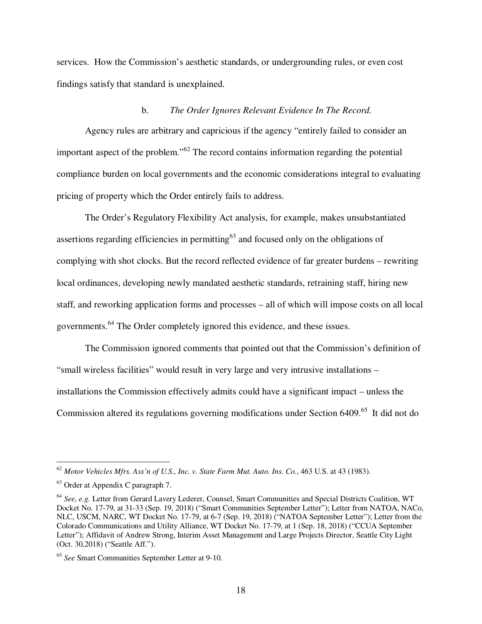services. How the Commission's aesthetic standards, or undergrounding rules, or even cost findings satisfy that standard is unexplained.

#### b. *The Order Ignores Relevant Evidence In The Record.*

Agency rules are arbitrary and capricious if the agency "entirely failed to consider an important aspect of the problem."<sup>62</sup> The record contains information regarding the potential compliance burden on local governments and the economic considerations integral to evaluating pricing of property which the Order entirely fails to address.

The Order's Regulatory Flexibility Act analysis, for example, makes unsubstantiated assertions regarding efficiencies in permitting $63$  and focused only on the obligations of complying with shot clocks. But the record reflected evidence of far greater burdens – rewriting local ordinances, developing newly mandated aesthetic standards, retraining staff, hiring new staff, and reworking application forms and processes – all of which will impose costs on all local governments.<sup>64</sup> The Order completely ignored this evidence, and these issues.

The Commission ignored comments that pointed out that the Commission's definition of "small wireless facilities" would result in very large and very intrusive installations – installations the Commission effectively admits could have a significant impact – unless the Commission altered its regulations governing modifications under Section 6409.<sup>65</sup> It did not do

<sup>62</sup> *Motor Vehicles Mfrs. Ass'n of U.S., Inc. v. State Farm Mut. Auto. Ins. Co.*, 463 U.S. at 43 (1983).

<sup>63</sup> Order at Appendix C paragraph 7.

<sup>64</sup> *See, e.g.* Letter from Gerard Lavery Lederer, Counsel, Smart Communities and Special Districts Coalition, WT Docket No. 17-79, at 31-33 (Sep. 19, 2018) ("Smart Communities September Letter"); Letter from NATOA, NACo, NLC, USCM, NARC, WT Docket No. 17-79, at 6-7 (Sep. 19, 2018) ("NATOA September Letter"); Letter from the Colorado Communications and Utility Alliance, WT Docket No. 17-79, at 1 (Sep. 18, 2018) ("CCUA September Letter"); Affidavit of Andrew Strong, Interim Asset Management and Large Projects Director, Seattle City Light (Oct. 30,2018) ("Seattle Aff.").

<sup>65</sup> *See* Smart Communities September Letter at 9-10.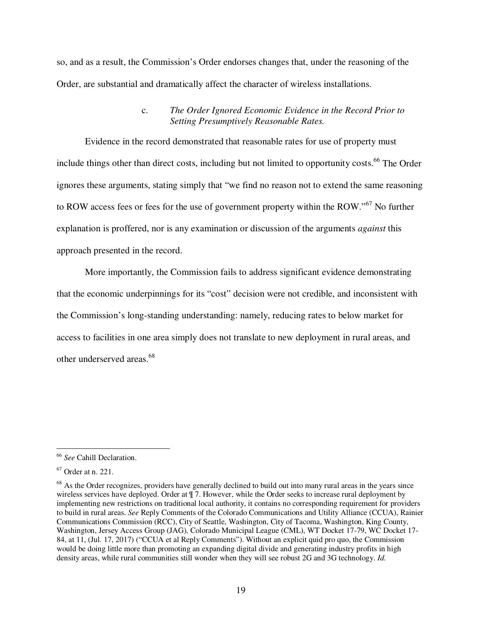so, and as a result, the Commission's Order endorses changes that, under the reasoning of the Order, are substantial and dramatically affect the character of wireless installations.

### c. *The Order Ignored Economic Evidence in the Record Prior to Setting Presumptively Reasonable Rates.*

Evidence in the record demonstrated that reasonable rates for use of property must include things other than direct costs, including but not limited to opportunity costs.<sup>66</sup> The Order ignores these arguments, stating simply that "we find no reason not to extend the same reasoning to ROW access fees or fees for the use of government property within the ROW."<sup>67</sup> No further explanation is proffered, nor is any examination or discussion of the arguments *against* this approach presented in the record.

More importantly, the Commission fails to address significant evidence demonstrating that the economic underpinnings for its "cost" decision were not credible, and inconsistent with the Commission's long-standing understanding: namely, reducing rates to below market for access to facilities in one area simply does not translate to new deployment in rural areas, and other underserved areas.<sup>68</sup>

<u>.</u>

<sup>66</sup> *See* Cahill Declaration.

<sup>67</sup> Order at n. 221.

<sup>&</sup>lt;sup>68</sup> As the Order recognizes, providers have generally declined to build out into many rural areas in the years since wireless services have deployed. Order at  $\P$  7. However, while the Order seeks to increase rural deployment by implementing new restrictions on traditional local authority, it contains no corresponding requirement for providers to build in rural areas. *See* Reply Comments of the Colorado Communications and Utility Alliance (CCUA), Rainier Communications Commission (RCC), City of Seattle, Washington, City of Tacoma, Washington, King County, Washington, Jersey Access Group (JAG), Colorado Municipal League (CML), WT Docket 17-79, WC Docket 17- 84, at 11, (Jul. 17, 2017) ("CCUA et al Reply Comments"). Without an explicit quid pro quo, the Commission would be doing little more than promoting an expanding digital divide and generating industry profits in high density areas, while rural communities still wonder when they will see robust 2G and 3G technology. *Id.*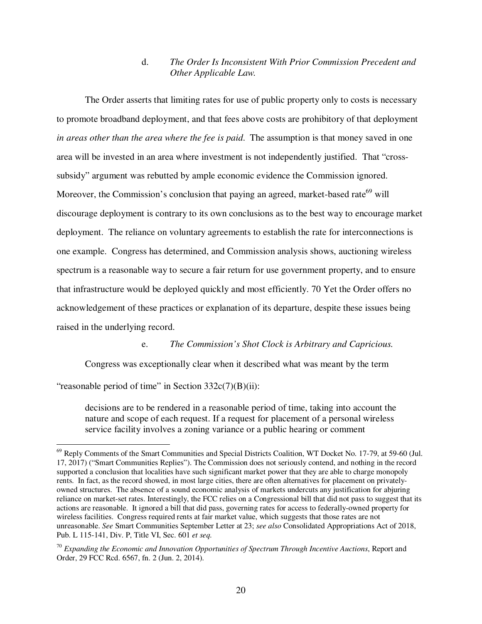## d. *The Order Is Inconsistent With Prior Commission Precedent and Other Applicable Law.*

The Order asserts that limiting rates for use of public property only to costs is necessary to promote broadband deployment, and that fees above costs are prohibitory of that deployment *in areas other than the area where the fee is paid*. The assumption is that money saved in one area will be invested in an area where investment is not independently justified. That "crosssubsidy" argument was rebutted by ample economic evidence the Commission ignored. Moreover, the Commission's conclusion that paying an agreed, market-based rate<sup>69</sup> will discourage deployment is contrary to its own conclusions as to the best way to encourage market deployment. The reliance on voluntary agreements to establish the rate for interconnections is one example. Congress has determined, and Commission analysis shows, auctioning wireless spectrum is a reasonable way to secure a fair return for use government property, and to ensure that infrastructure would be deployed quickly and most efficiently. 70 Yet the Order offers no acknowledgement of these practices or explanation of its departure, despite these issues being raised in the underlying record.

e. *The Commission's Shot Clock is Arbitrary and Capricious.* 

Congress was exceptionally clear when it described what was meant by the term

"reasonable period of time" in Section  $332c(7)(B)(ii)$ :

<u>.</u>

decisions are to be rendered in a reasonable period of time, taking into account the nature and scope of each request. If a request for placement of a personal wireless service facility involves a zoning variance or a public hearing or comment

<sup>&</sup>lt;sup>69</sup> Reply Comments of the Smart Communities and Special Districts Coalition, WT Docket No. 17-79, at 59-60 (Jul. 17, 2017) ("Smart Communities Replies"). The Commission does not seriously contend, and nothing in the record supported a conclusion that localities have such significant market power that they are able to charge monopoly rents. In fact, as the record showed, in most large cities, there are often alternatives for placement on privatelyowned structures. The absence of a sound economic analysis of markets undercuts any justification for abjuring reliance on market-set rates. Interestingly, the FCC relies on a Congressional bill that did not pass to suggest that its actions are reasonable. It ignored a bill that did pass, governing rates for access to federally-owned property for wireless facilities. Congress required rents at fair market value, which suggests that those rates are not unreasonable. *See* Smart Communities September Letter at 23; *see also* Consolidated Appropriations Act of 2018, Pub. L 115-141, Div. P, Title VI, Sec. 601 *et seq.*

<sup>70</sup> *Expanding the Economic and Innovation Opportunities of Spectrum Through Incentive Auctions*, Report and Order, 29 FCC Rcd. 6567, fn. 2 (Jun. 2, 2014).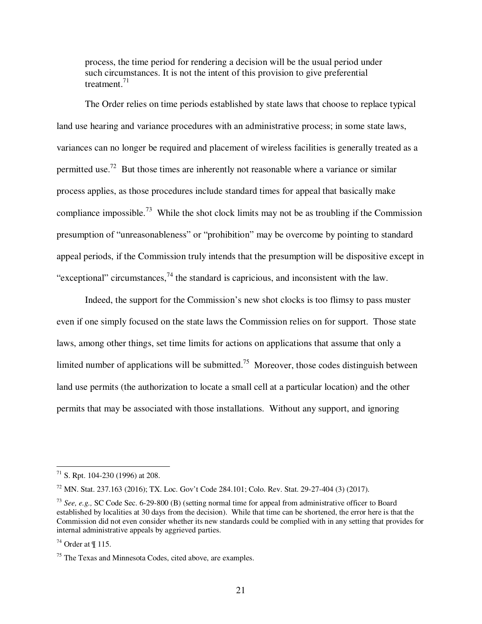process, the time period for rendering a decision will be the usual period under such circumstances. It is not the intent of this provision to give preferential treatment. $71$ 

The Order relies on time periods established by state laws that choose to replace typical land use hearing and variance procedures with an administrative process; in some state laws, variances can no longer be required and placement of wireless facilities is generally treated as a permitted use.<sup>72</sup> But those times are inherently not reasonable where a variance or similar process applies, as those procedures include standard times for appeal that basically make compliance impossible.<sup>73</sup> While the shot clock limits may not be as troubling if the Commission presumption of "unreasonableness" or "prohibition" may be overcome by pointing to standard appeal periods, if the Commission truly intends that the presumption will be dispositive except in "exceptional" circumstances,  $^{74}$  the standard is capricious, and inconsistent with the law.

Indeed, the support for the Commission's new shot clocks is too flimsy to pass muster even if one simply focused on the state laws the Commission relies on for support. Those state laws, among other things, set time limits for actions on applications that assume that only a limited number of applications will be submitted.<sup>75</sup> Moreover, those codes distinguish between land use permits (the authorization to locate a small cell at a particular location) and the other permits that may be associated with those installations. Without any support, and ignoring

 $71$  S. Rpt. 104-230 (1996) at 208.

<sup>72</sup> MN. Stat. 237.163 (2016); TX. Loc. Gov't Code 284.101; Colo. Rev. Stat. 29-27-404 (3) (2017).

<sup>73</sup> *See, e.g.,* SC Code Sec. 6-29-800 (B) (setting normal time for appeal from administrative officer to Board established by localities at 30 days from the decision). While that time can be shortened, the error here is that the Commission did not even consider whether its new standards could be complied with in any setting that provides for internal administrative appeals by aggrieved parties.

 $74$  Order at ¶ 115.

<sup>&</sup>lt;sup>75</sup> The Texas and Minnesota Codes, cited above, are examples.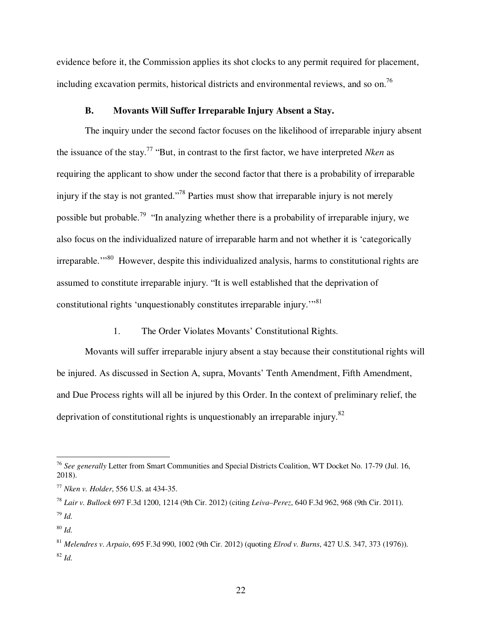evidence before it, the Commission applies its shot clocks to any permit required for placement, including excavation permits, historical districts and environmental reviews, and so on.<sup>76</sup>

### **B. Movants Will Suffer Irreparable Injury Absent a Stay.**

The inquiry under the second factor focuses on the likelihood of irreparable injury absent the issuance of the stay.<sup>77</sup> "But, in contrast to the first factor, we have interpreted *Nken* as requiring the applicant to show under the second factor that there is a probability of irreparable injury if the stay is not granted."<sup>78</sup> Parties must show that irreparable injury is not merely possible but probable.<sup>79</sup> "In analyzing whether there is a probability of irreparable injury, we also focus on the individualized nature of irreparable harm and not whether it is 'categorically irreparable.<sup>"80</sup> However, despite this individualized analysis, harms to constitutional rights are assumed to constitute irreparable injury. "It is well established that the deprivation of constitutional rights 'unquestionably constitutes irreparable injury.'"<sup>81</sup>

1. The Order Violates Movants' Constitutional Rights.

Movants will suffer irreparable injury absent a stay because their constitutional rights will be injured. As discussed in Section A, supra, Movants' Tenth Amendment, Fifth Amendment, and Due Process rights will all be injured by this Order. In the context of preliminary relief, the deprivation of constitutional rights is unquestionably an irreparable injury.<sup>82</sup>

<sup>76</sup> *See generally* Letter from Smart Communities and Special Districts Coalition, WT Docket No. 17-79 (Jul. 16, 2018).

<sup>77</sup> *Nken v. Holder*, 556 U.S. at 434-35.

<sup>78</sup> *Lair v. Bullock* 697 F.3d 1200, 1214 (9th Cir. 2012) (citing *Leiva–Perez*, 640 F.3d 962, 968 (9th Cir. 2011). <sup>79</sup> *Id.*

<sup>80</sup> *Id.*

<sup>81</sup> *Melendres v. Arpaio*, 695 F.3d 990, 1002 (9th Cir. 2012) (quoting *Elrod v. Burns*, 427 U.S. 347, 373 (1976)). <sup>82</sup> *Id.*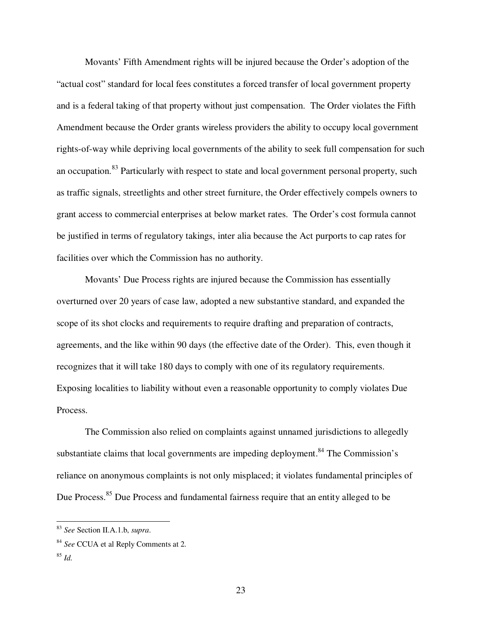Movants' Fifth Amendment rights will be injured because the Order's adoption of the "actual cost" standard for local fees constitutes a forced transfer of local government property and is a federal taking of that property without just compensation. The Order violates the Fifth Amendment because the Order grants wireless providers the ability to occupy local government rights-of-way while depriving local governments of the ability to seek full compensation for such an occupation.<sup>83</sup> Particularly with respect to state and local government personal property, such as traffic signals, streetlights and other street furniture, the Order effectively compels owners to grant access to commercial enterprises at below market rates. The Order's cost formula cannot be justified in terms of regulatory takings, inter alia because the Act purports to cap rates for facilities over which the Commission has no authority.

Movants' Due Process rights are injured because the Commission has essentially overturned over 20 years of case law, adopted a new substantive standard, and expanded the scope of its shot clocks and requirements to require drafting and preparation of contracts, agreements, and the like within 90 days (the effective date of the Order). This, even though it recognizes that it will take 180 days to comply with one of its regulatory requirements. Exposing localities to liability without even a reasonable opportunity to comply violates Due Process.

The Commission also relied on complaints against unnamed jurisdictions to allegedly substantiate claims that local governments are impeding deployment.<sup>84</sup> The Commission's reliance on anonymous complaints is not only misplaced; it violates fundamental principles of Due Process.<sup>85</sup> Due Process and fundamental fairness require that an entity alleged to be

<sup>83</sup> *See* Section II.A.1.b, *supra*.

<sup>84</sup> *See* CCUA et al Reply Comments at 2.

<sup>85</sup> *Id.*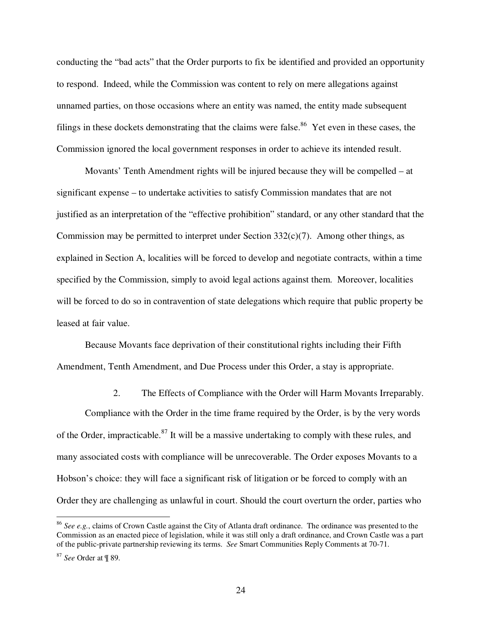conducting the "bad acts" that the Order purports to fix be identified and provided an opportunity to respond. Indeed, while the Commission was content to rely on mere allegations against unnamed parties, on those occasions where an entity was named, the entity made subsequent filings in these dockets demonstrating that the claims were false.<sup>86</sup> Yet even in these cases, the Commission ignored the local government responses in order to achieve its intended result.

Movants' Tenth Amendment rights will be injured because they will be compelled – at significant expense – to undertake activities to satisfy Commission mandates that are not justified as an interpretation of the "effective prohibition" standard, or any other standard that the Commission may be permitted to interpret under Section  $332(c)(7)$ . Among other things, as explained in Section A, localities will be forced to develop and negotiate contracts, within a time specified by the Commission, simply to avoid legal actions against them. Moreover, localities will be forced to do so in contravention of state delegations which require that public property be leased at fair value.

Because Movants face deprivation of their constitutional rights including their Fifth Amendment, Tenth Amendment, and Due Process under this Order, a stay is appropriate.

2. The Effects of Compliance with the Order will Harm Movants Irreparably.

Compliance with the Order in the time frame required by the Order, is by the very words of the Order, impracticable.<sup>87</sup> It will be a massive undertaking to comply with these rules, and many associated costs with compliance will be unrecoverable. The Order exposes Movants to a Hobson's choice: they will face a significant risk of litigation or be forced to comply with an Order they are challenging as unlawful in court. Should the court overturn the order, parties who

<sup>86</sup> *See e.g.*, claims of Crown Castle against the City of Atlanta draft ordinance. The ordinance was presented to the Commission as an enacted piece of legislation, while it was still only a draft ordinance, and Crown Castle was a part of the public-private partnership reviewing its terms. *See* Smart Communities Reply Comments at 70-71.

<sup>87</sup> *See* Order at ¶ 89.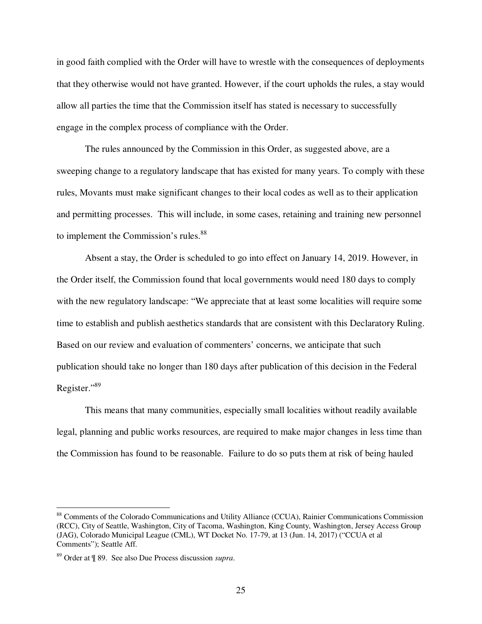in good faith complied with the Order will have to wrestle with the consequences of deployments that they otherwise would not have granted. However, if the court upholds the rules, a stay would allow all parties the time that the Commission itself has stated is necessary to successfully engage in the complex process of compliance with the Order.

The rules announced by the Commission in this Order, as suggested above, are a sweeping change to a regulatory landscape that has existed for many years. To comply with these rules, Movants must make significant changes to their local codes as well as to their application and permitting processes. This will include, in some cases, retaining and training new personnel to implement the Commission's rules.<sup>88</sup>

Absent a stay, the Order is scheduled to go into effect on January 14, 2019. However, in the Order itself, the Commission found that local governments would need 180 days to comply with the new regulatory landscape: "We appreciate that at least some localities will require some time to establish and publish aesthetics standards that are consistent with this Declaratory Ruling. Based on our review and evaluation of commenters' concerns, we anticipate that such publication should take no longer than 180 days after publication of this decision in the Federal Register."<sup>89</sup>

This means that many communities, especially small localities without readily available legal, planning and public works resources, are required to make major changes in less time than the Commission has found to be reasonable. Failure to do so puts them at risk of being hauled

<sup>88</sup> Comments of the Colorado Communications and Utility Alliance (CCUA), Rainier Communications Commission (RCC), City of Seattle, Washington, City of Tacoma, Washington, King County, Washington, Jersey Access Group (JAG), Colorado Municipal League (CML), WT Docket No. 17-79, at 13 (Jun. 14, 2017) ("CCUA et al Comments"); Seattle Aff.

<sup>89</sup> Order at ¶ 89. See also Due Process discussion *supra*.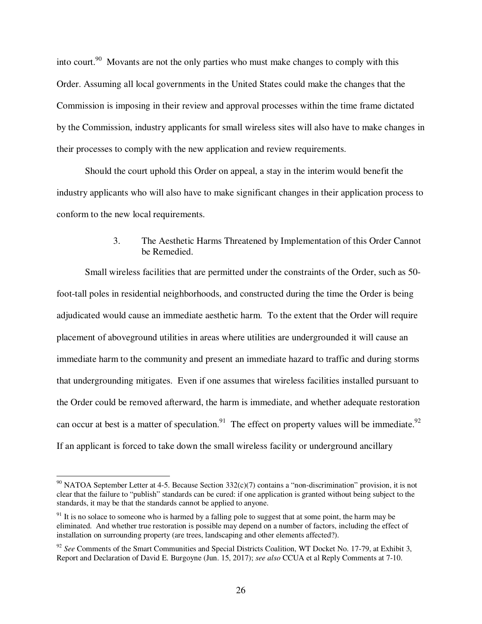into court.<sup>90</sup> Movants are not the only parties who must make changes to comply with this Order. Assuming all local governments in the United States could make the changes that the Commission is imposing in their review and approval processes within the time frame dictated by the Commission, industry applicants for small wireless sites will also have to make changes in their processes to comply with the new application and review requirements.

Should the court uphold this Order on appeal, a stay in the interim would benefit the industry applicants who will also have to make significant changes in their application process to conform to the new local requirements.

## 3. The Aesthetic Harms Threatened by Implementation of this Order Cannot be Remedied.

Small wireless facilities that are permitted under the constraints of the Order, such as 50 foot-tall poles in residential neighborhoods, and constructed during the time the Order is being adjudicated would cause an immediate aesthetic harm. To the extent that the Order will require placement of aboveground utilities in areas where utilities are undergrounded it will cause an immediate harm to the community and present an immediate hazard to traffic and during storms that undergrounding mitigates. Even if one assumes that wireless facilities installed pursuant to the Order could be removed afterward, the harm is immediate, and whether adequate restoration can occur at best is a matter of speculation.<sup>91</sup> The effect on property values will be immediate.<sup>92</sup> If an applicant is forced to take down the small wireless facility or underground ancillary

 $90$  NATOA September Letter at 4-5. Because Section 332(c)(7) contains a "non-discrimination" provision, it is not clear that the failure to "publish" standards can be cured: if one application is granted without being subject to the standards, it may be that the standards cannot be applied to anyone.

<sup>&</sup>lt;sup>91</sup> It is no solace to someone who is harmed by a falling pole to suggest that at some point, the harm may be eliminated. And whether true restoration is possible may depend on a number of factors, including the effect of installation on surrounding property (are trees, landscaping and other elements affected?).

<sup>92</sup> *See* Comments of the Smart Communities and Special Districts Coalition, WT Docket No. 17-79, at Exhibit 3, Report and Declaration of David E. Burgoyne (Jun. 15, 2017); *see also* CCUA et al Reply Comments at 7-10.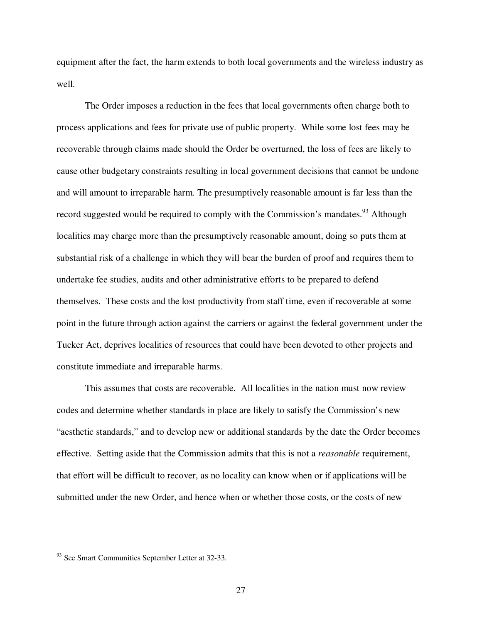equipment after the fact, the harm extends to both local governments and the wireless industry as well.

The Order imposes a reduction in the fees that local governments often charge both to process applications and fees for private use of public property. While some lost fees may be recoverable through claims made should the Order be overturned, the loss of fees are likely to cause other budgetary constraints resulting in local government decisions that cannot be undone and will amount to irreparable harm. The presumptively reasonable amount is far less than the record suggested would be required to comply with the Commission's mandates.<sup>93</sup> Although localities may charge more than the presumptively reasonable amount, doing so puts them at substantial risk of a challenge in which they will bear the burden of proof and requires them to undertake fee studies, audits and other administrative efforts to be prepared to defend themselves. These costs and the lost productivity from staff time, even if recoverable at some point in the future through action against the carriers or against the federal government under the Tucker Act, deprives localities of resources that could have been devoted to other projects and constitute immediate and irreparable harms.

This assumes that costs are recoverable. All localities in the nation must now review codes and determine whether standards in place are likely to satisfy the Commission's new "aesthetic standards," and to develop new or additional standards by the date the Order becomes effective. Setting aside that the Commission admits that this is not a *reasonable* requirement, that effort will be difficult to recover, as no locality can know when or if applications will be submitted under the new Order, and hence when or whether those costs, or the costs of new

l

<sup>&</sup>lt;sup>93</sup> See Smart Communities September Letter at 32-33.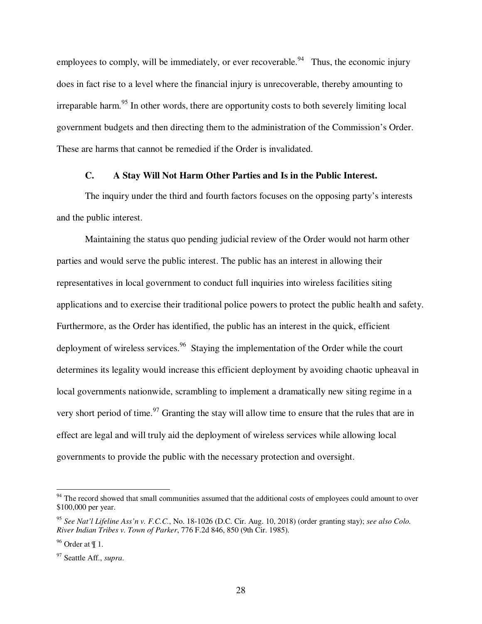employees to comply, will be immediately, or ever recoverable.<sup>94</sup> Thus, the economic injury does in fact rise to a level where the financial injury is unrecoverable, thereby amounting to irreparable harm.<sup>95</sup> In other words, there are opportunity costs to both severely limiting local government budgets and then directing them to the administration of the Commission's Order. These are harms that cannot be remedied if the Order is invalidated.

### **C. A Stay Will Not Harm Other Parties and Is in the Public Interest.**

The inquiry under the third and fourth factors focuses on the opposing party's interests and the public interest.

Maintaining the status quo pending judicial review of the Order would not harm other parties and would serve the public interest. The public has an interest in allowing their representatives in local government to conduct full inquiries into wireless facilities siting applications and to exercise their traditional police powers to protect the public health and safety. Furthermore, as the Order has identified, the public has an interest in the quick, efficient deployment of wireless services.<sup>96</sup> Staying the implementation of the Order while the court determines its legality would increase this efficient deployment by avoiding chaotic upheaval in local governments nationwide, scrambling to implement a dramatically new siting regime in a very short period of time.<sup>97</sup> Granting the stay will allow time to ensure that the rules that are in effect are legal and will truly aid the deployment of wireless services while allowing local governments to provide the public with the necessary protection and oversight.

 $94$  The record showed that small communities assumed that the additional costs of employees could amount to over \$100,000 per year.

<sup>95</sup> *See Nat'l Lifeline Ass'n v. F.C.C.*, No. 18-1026 (D.C. Cir. Aug. 10, 2018) (order granting stay); *see also Colo. River Indian Tribes v. Town of Parker*, 776 F.2d 846, 850 (9th Cir. 1985).

 $96$  Order at ¶ 1.

<sup>97</sup> Seattle Aff., *supra*.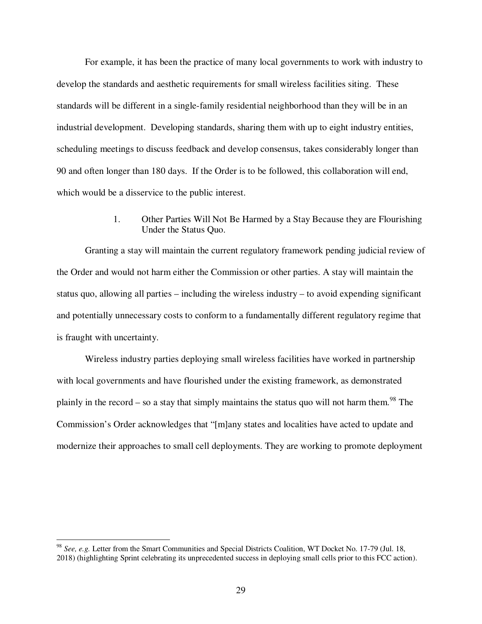For example, it has been the practice of many local governments to work with industry to develop the standards and aesthetic requirements for small wireless facilities siting. These standards will be different in a single-family residential neighborhood than they will be in an industrial development. Developing standards, sharing them with up to eight industry entities, scheduling meetings to discuss feedback and develop consensus, takes considerably longer than 90 and often longer than 180 days. If the Order is to be followed, this collaboration will end, which would be a disservice to the public interest.

> 1. Other Parties Will Not Be Harmed by a Stay Because they are Flourishing Under the Status Quo.

Granting a stay will maintain the current regulatory framework pending judicial review of the Order and would not harm either the Commission or other parties. A stay will maintain the status quo, allowing all parties – including the wireless industry – to avoid expending significant and potentially unnecessary costs to conform to a fundamentally different regulatory regime that is fraught with uncertainty.

Wireless industry parties deploying small wireless facilities have worked in partnership with local governments and have flourished under the existing framework, as demonstrated plainly in the record – so a stay that simply maintains the status quo will not harm them.<sup>98</sup> The Commission's Order acknowledges that "[m]any states and localities have acted to update and modernize their approaches to small cell deployments. They are working to promote deployment

<sup>98</sup> *See, e.g.* Letter from the Smart Communities and Special Districts Coalition, WT Docket No. 17-79 (Jul. 18, 2018) (highlighting Sprint celebrating its unprecedented success in deploying small cells prior to this FCC action).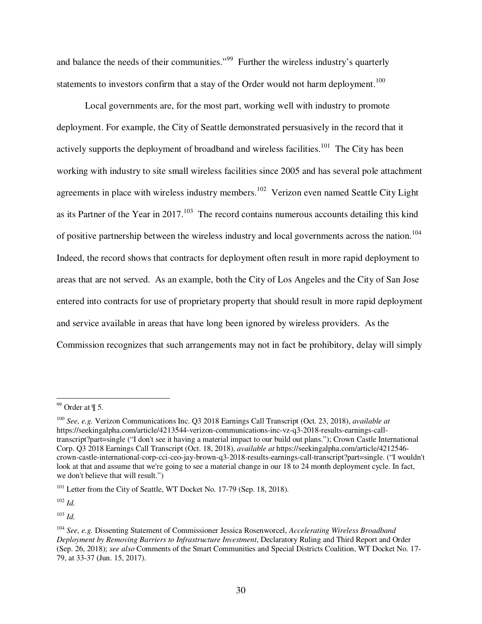and balance the needs of their communities."<sup>99</sup> Further the wireless industry's quarterly statements to investors confirm that a stay of the Order would not harm deployment.<sup>100</sup>

Local governments are, for the most part, working well with industry to promote deployment. For example, the City of Seattle demonstrated persuasively in the record that it actively supports the deployment of broadband and wireless facilities.<sup>101</sup> The City has been working with industry to site small wireless facilities since 2005 and has several pole attachment agreements in place with wireless industry members.<sup>102</sup> Verizon even named Seattle City Light as its Partner of the Year in 2017.<sup>103</sup> The record contains numerous accounts detailing this kind of positive partnership between the wireless industry and local governments across the nation.<sup>104</sup> Indeed, the record shows that contracts for deployment often result in more rapid deployment to areas that are not served. As an example, both the City of Los Angeles and the City of San Jose entered into contracts for use of proprietary property that should result in more rapid deployment and service available in areas that have long been ignored by wireless providers. As the Commission recognizes that such arrangements may not in fact be prohibitory, delay will simply

-

 $102$  *Id.* 

 $103$  *Id.* 

 $99$  Order at  $\P$  5.

<sup>100</sup> *See, e.g.* Verizon Communications Inc. Q3 2018 Earnings Call Transcript (Oct. 23, 2018), *available at*  https://seekingalpha.com/article/4213544-verizon-communications-inc-vz-q3-2018-results-earnings-calltranscript?part=single ("I don't see it having a material impact to our build out plans."); Crown Castle International Corp. Q3 2018 Earnings Call Transcript (Oct. 18, 2018), *available at* https://seekingalpha.com/article/4212546 crown-castle-international-corp-cci-ceo-jay-brown-q3-2018-results-earnings-call-transcript?part=single. ("I wouldn't look at that and assume that we're going to see a material change in our 18 to 24 month deployment cycle. In fact, we don't believe that will result.")

<sup>&</sup>lt;sup>101</sup> Letter from the City of Seattle, WT Docket No. 17-79 (Sep. 18, 2018).

<sup>104</sup> *See, e.g.* Dissenting Statement of Commissioner Jessica Rosenworcel, *Accelerating Wireless Broadband Deployment by Removing Barriers to Infrastructure Investment*, Declaratory Ruling and Third Report and Order (Sep. 26, 2018); *see also* Comments of the Smart Communities and Special Districts Coalition, WT Docket No. 17- 79, at 33-37 (Jun. 15, 2017).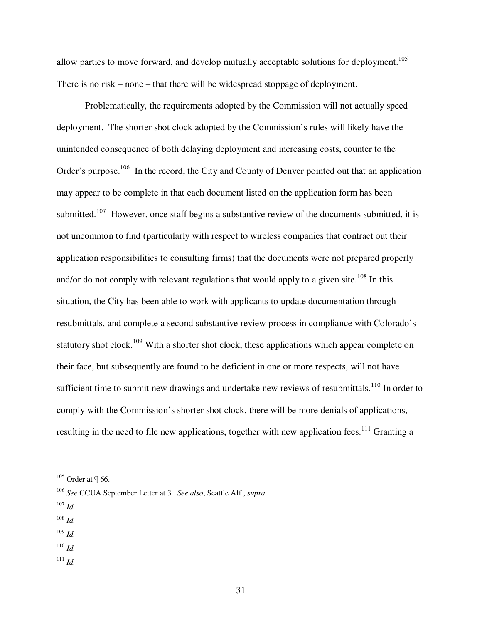allow parties to move forward, and develop mutually acceptable solutions for deployment.<sup>105</sup> There is no risk – none – that there will be widespread stoppage of deployment.

Problematically, the requirements adopted by the Commission will not actually speed deployment. The shorter shot clock adopted by the Commission's rules will likely have the unintended consequence of both delaying deployment and increasing costs, counter to the Order's purpose.<sup>106</sup> In the record, the City and County of Denver pointed out that an application may appear to be complete in that each document listed on the application form has been submitted.<sup>107</sup> However, once staff begins a substantive review of the documents submitted, it is not uncommon to find (particularly with respect to wireless companies that contract out their application responsibilities to consulting firms) that the documents were not prepared properly and/or do not comply with relevant regulations that would apply to a given site.<sup>108</sup> In this situation, the City has been able to work with applicants to update documentation through resubmittals, and complete a second substantive review process in compliance with Colorado's statutory shot clock.<sup>109</sup> With a shorter shot clock, these applications which appear complete on their face, but subsequently are found to be deficient in one or more respects, will not have sufficient time to submit new drawings and undertake new reviews of resubmittals.<sup>110</sup> In order to comply with the Commission's shorter shot clock, there will be more denials of applications, resulting in the need to file new applications, together with new application fees.<sup>111</sup> Granting a

 $107$  *Id.* 

- <sup>108</sup> *Id.*
- <sup>109</sup> *Id.*
- <sup>110</sup> *Id.*
- <sup>111</sup> *Id.*

 $105$  Order at  $\P$  66.

<sup>106</sup> *See* CCUA September Letter at 3. *See also*, Seattle Aff., *supra*.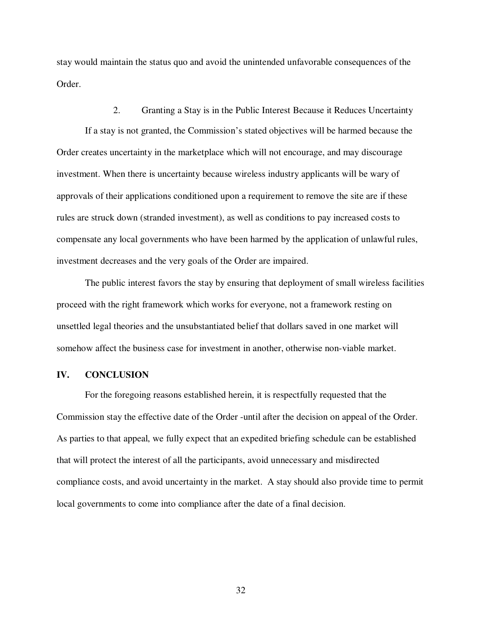stay would maintain the status quo and avoid the unintended unfavorable consequences of the Order.

2. Granting a Stay is in the Public Interest Because it Reduces Uncertainty If a stay is not granted, the Commission's stated objectives will be harmed because the Order creates uncertainty in the marketplace which will not encourage, and may discourage investment. When there is uncertainty because wireless industry applicants will be wary of approvals of their applications conditioned upon a requirement to remove the site are if these rules are struck down (stranded investment), as well as conditions to pay increased costs to compensate any local governments who have been harmed by the application of unlawful rules, investment decreases and the very goals of the Order are impaired.

The public interest favors the stay by ensuring that deployment of small wireless facilities proceed with the right framework which works for everyone, not a framework resting on unsettled legal theories and the unsubstantiated belief that dollars saved in one market will somehow affect the business case for investment in another, otherwise non-viable market.

## **IV. CONCLUSION**

For the foregoing reasons established herein, it is respectfully requested that the Commission stay the effective date of the Order -until after the decision on appeal of the Order. As parties to that appeal, we fully expect that an expedited briefing schedule can be established that will protect the interest of all the participants, avoid unnecessary and misdirected compliance costs, and avoid uncertainty in the market. A stay should also provide time to permit local governments to come into compliance after the date of a final decision.

32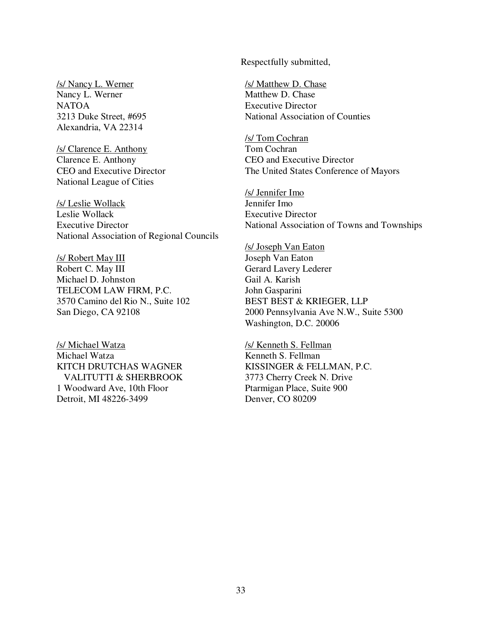Respectfully submitted,

/s/ Nancy L. Werner Nancy L. Werner NATOA 3213 Duke Street, #695 Alexandria, VA 22314

/s/ Clarence E. Anthony Clarence E. Anthony CEO and Executive Director National League of Cities

/s/ Leslie Wollack Leslie Wollack Executive Director National Association of Regional Councils

/s/ Robert May III Robert C. May III Michael D. Johnston TELECOM LAW FIRM, P.C. 3570 Camino del Rio N., Suite 102 San Diego, CA 92108

/s/ Michael Watza Michael Watza KITCH DRUTCHAS WAGNER VALITUTTI & SHERBROOK 1 Woodward Ave, 10th Floor Detroit, MI 48226-3499

/s/ Matthew D. Chase Matthew D. Chase Executive Director National Association of Counties

/s/ Tom Cochran Tom Cochran CEO and Executive Director The United States Conference of Mayors

/s/ Jennifer Imo Jennifer Imo Executive Director National Association of Towns and Townships

/s/ Joseph Van Eaton Joseph Van Eaton Gerard Lavery Lederer Gail A. Karish John Gasparini BEST BEST & KRIEGER, LLP 2000 Pennsylvania Ave N.W., Suite 5300 Washington, D.C. 20006

/s/ Kenneth S. Fellman Kenneth S. Fellman KISSINGER & FELLMAN, P.C. 3773 Cherry Creek N. Drive Ptarmigan Place, Suite 900 Denver, CO 80209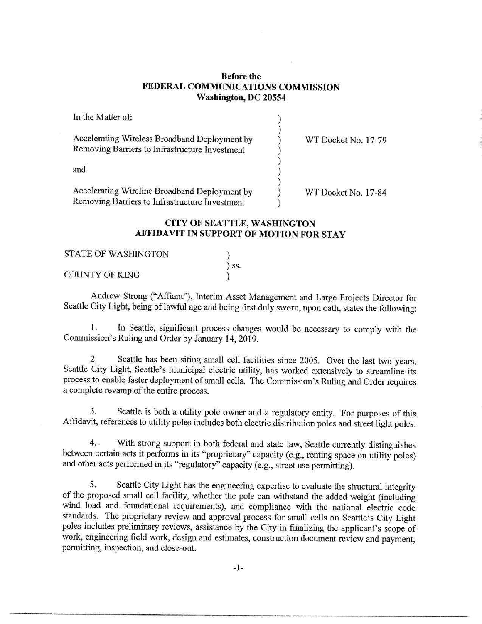### Before the FEDERAL COMMUNICATIONS COMMISSION Washington, DC 20554

| In the Matter of:                                                                               |                     |
|-------------------------------------------------------------------------------------------------|---------------------|
| Accelerating Wireless Broadband Deployment by<br>Removing Barriers to Infrastructure Investment | WT Docket No. 17-79 |
| and                                                                                             |                     |
| Accelerating Wireline Broadband Deployment by<br>Removing Barriers to Infrastructure Investment | WT Docket No. 17-84 |

## CITY OF SEATTLE, WASHINGTON AFFIDAVIT IN SUPPORT OF MOTION FOR STAY

| <b>STATE OF WASHINGTON</b> |                              |  |
|----------------------------|------------------------------|--|
|                            | $\overline{\phantom{a}}$ SS. |  |
| <b>COUNTY OF KING</b>      |                              |  |

Andrew Strong ("Affiant"), Interim Asset Management and Large Projects Director for Seattle City Light, being of lawful age and being first duly sworn, upon oath, states the following:

1. In Seattle, significant process changes would be necessary to comply with the Commission's Ruling and Order by January 14, 2019.

2. Seattle has been siting small cell facilities since 2005. Over the last two years, Seattle City Light, Seattle's municipal electric utility, has worked extensively to streamline its process to enable faster deployment of small cells. The Commission's Ruling and Order requires a complete revamp of the entire process.

3. Seattle is both a utility pole owner and a regulatory entity. For purposes of this Affidavit, references to utility poles includes both electric distribution poles and street light poles.

4.. With strong support in both federal and state law, Seattle currently distinguishes between certain acts it performs in its "proprietary" capacity (e.g., renting space on utility poles) and other acts performed in its "regulatory" capacity (e.g., street use permitting).

5. Seattle City Light has the engineering expertise to evaluate the structural integrity of the proposed small cell facility, whether the pole can withstand the added weight (including wind load and foundational requirements), and compliance with the national electric code standards. The proprietary review and approval process for small cells on Seattle's City Light poles includes preliminary reviews, assistance by the City in finalizing the applicant's scope of work, engineering field work, design and estimates, construction document review and payment, permitting, inspection, and close-out.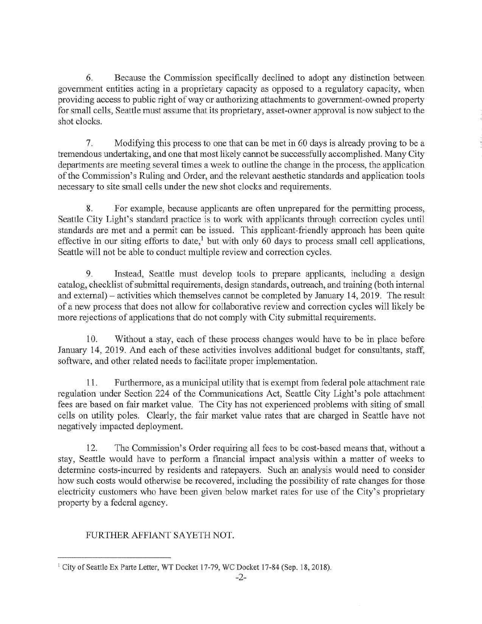6. Because the Commission specifically declined to adopt any distinction between government entities acting in a proprietary capacity as opposed to a regulatory capacity, when providing access to public right of way or authorizing attachments to government-owned property for small cells, Seattle must assume that its proprietary, asset-owner approval is now subject to the shot clocks.

7. Modifying this process to one that can be met in 60 days is already proving to be a tremendous undertaking, and one that most likely cannot be successfully accomplished. Many City departments are meeting several times a week to outline the change in the process, the application of the Commission's Ruling and Order, and the relevant aesthetic standards and application tools necessary to site small cells under the new shot clocks and requirements.

8. For example, because applicants are often unprepared for the permitting process, Seattle City Light's standard practice is to work with applicants through correction cycles until standards are met and a permit can be issued. This applicant-friendly approach has been quite effective in our siting efforts to date,<sup>1</sup> but with only 60 days to process small cell applications, Seattle will not be able to conduct multiple review and correction cycles.

9. Instead, Seattle must develop tools to prepare applicants, including a design catalog, checklist of submittal requirements, design standards, outreach, and training (both internal and external) — activities which themselves cannot be completed by January 14, 2019. The result of a new process that does not allow for collaborative review and correction cycles will likely be more rejections of applications that do not comply with City submittal requirements.

10. Without a stay, each of these process changes would have to be in place before January 14, 2019. And each of these activities involves additional budget for consultants, staff, software, and other related needs to facilitate proper implementation.

11. Furthermore, as a municipal utility that is exempt from federal pole attachment rate regulation under Section 224 of the Communications Act, Seattle City Light's pole attachment fees are based on fair market value. The City has not experienced problems with siting of small cells on utility poles. Clearly, the fair market value rates that are charged in Seattle have not negatively impacted deployment.

12. The Commission's Order requiring all fees to be cost-based means that, without a stay, Seattle would have to perform a financial impact analysis within a matter of weeks to determine costs-incurred by residents and ratepayers. Such an analysis would need to consider how such costs would otherwise be recovered, including the possibility of rate changes for those electricity customers who have been given below market rates for use of the City's proprietary property by a federal agency.

# FURTHER AFFIANT SAYETH NOT.

<sup>&</sup>lt;sup>1</sup> City of Seattle Ex Parte Letter, WT Docket 17-79, WC Docket 17-84 (Sep. 18, 2018).